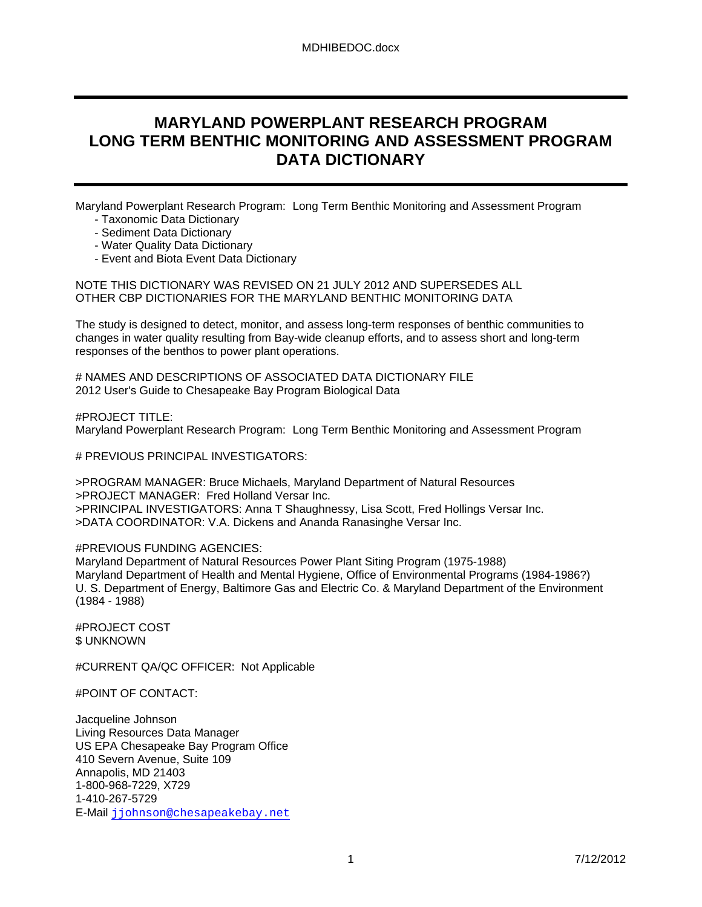# **MARYLAND POWERPLANT RESEARCH PROGRAM LONG TERM BENTHIC MONITORING AND ASSESSMENT PROGRAM DATA DICTIONARY**

Maryland Powerplant Research Program: Long Term Benthic Monitoring and Assessment Program

- Taxonomic Data Dictionary
- Sediment Data Dictionary
- Water Quality Data Dictionary
- Event and Biota Event Data Dictionary

NOTE THIS DICTIONARY WAS REVISED ON 21 JULY 2012 AND SUPERSEDES ALL OTHER CBP DICTIONARIES FOR THE MARYLAND BENTHIC MONITORING DATA

The study is designed to detect, monitor, and assess long-term responses of benthic communities to changes in water quality resulting from Bay-wide cleanup efforts, and to assess short and long-term responses of the benthos to power plant operations.

# NAMES AND DESCRIPTIONS OF ASSOCIATED DATA DICTIONARY FILE 2012 User's Guide to Chesapeake Bay Program Biological Data

#PROJECT TITLE: Maryland Powerplant Research Program: Long Term Benthic Monitoring and Assessment Program

# PREVIOUS PRINCIPAL INVESTIGATORS:

>PROGRAM MANAGER: Bruce Michaels, Maryland Department of Natural Resources >PROJECT MANAGER: Fred Holland Versar Inc. >PRINCIPAL INVESTIGATORS: Anna T Shaughnessy, Lisa Scott, Fred Hollings Versar Inc. >DATA COORDINATOR: V.A. Dickens and Ananda Ranasinghe Versar Inc.

## #PREVIOUS FUNDING AGENCIES:

Maryland Department of Natural Resources Power Plant Siting Program (1975-1988) Maryland Department of Health and Mental Hygiene, Office of Environmental Programs (1984-1986?) U. S. Department of Energy, Baltimore Gas and Electric Co. & Maryland Department of the Environment (1984 - 1988)

#PROJECT COST \$ UNKNOWN

#CURRENT QA/QC OFFICER: Not Applicable

#POINT OF CONTACT:

Jacqueline Johnson Living Resources Data Manager US EPA Chesapeake Bay Program Office 410 Severn Avenue, Suite 109 Annapolis, MD 21403 1-800-968-7229, X729 1-410-267-5729 E-Mail jjohnson@chesapeakebay.net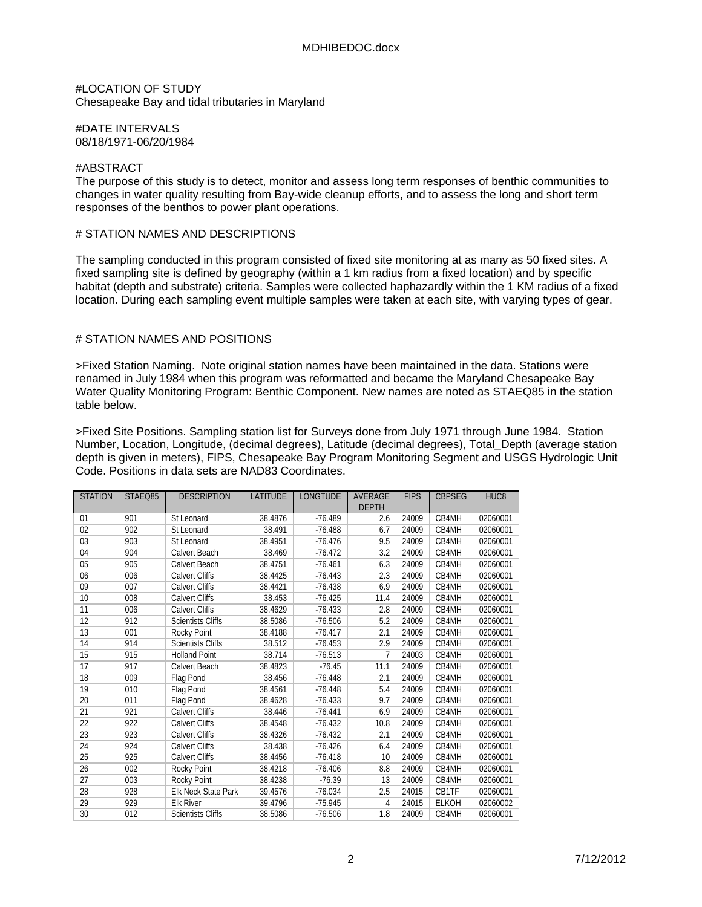### #LOCATION OF STUDY Chesapeake Bay and tidal tributaries in Maryland

#DATE INTERVALS 08/18/1971-06/20/1984

#### #ABSTRACT

The purpose of this study is to detect, monitor and assess long term responses of benthic communities to changes in water quality resulting from Bay-wide cleanup efforts, and to assess the long and short term responses of the benthos to power plant operations.

### # STATION NAMES AND DESCRIPTIONS

The sampling conducted in this program consisted of fixed site monitoring at as many as 50 fixed sites. A fixed sampling site is defined by geography (within a 1 km radius from a fixed location) and by specific habitat (depth and substrate) criteria. Samples were collected haphazardly within the 1 KM radius of a fixed location. During each sampling event multiple samples were taken at each site, with varying types of gear.

### # STATION NAMES AND POSITIONS

>Fixed Station Naming. Note original station names have been maintained in the data. Stations were renamed in July 1984 when this program was reformatted and became the Maryland Chesapeake Bay Water Quality Monitoring Program: Benthic Component. New names are noted as STAEQ85 in the station table below.

>Fixed Site Positions. Sampling station list for Surveys done from July 1971 through June 1984. Station Number, Location, Longitude, (decimal degrees), Latitude (decimal degrees), Total\_Depth (average station depth is given in meters), FIPS, Chesapeake Bay Program Monitoring Segment and USGS Hydrologic Unit Code. Positions in data sets are NAD83 Coordinates.

| <b>STATION</b> | STAEQ85 | <b>DESCRIPTION</b>       | <b>LATITUDE</b> | <b>LONGTUDE</b> | <b>AVERAGE</b> | <b>FIPS</b> | <b>CBPSEG</b> | HUC <sub>8</sub> |
|----------------|---------|--------------------------|-----------------|-----------------|----------------|-------------|---------------|------------------|
|                |         |                          |                 |                 | <b>DEPTH</b>   |             |               |                  |
| 01             | 901     | St Leonard               | 38.4876         | $-76.489$       | 2.6            | 24009       | CB4MH         | 02060001         |
| 02             | 902     | St Leonard               | 38.491          | $-76.488$       | 6.7            | 24009       | CB4MH         | 02060001         |
| 03             | 903     | St Leonard               | 38.4951         | $-76.476$       | 9.5            | 24009       | CB4MH         | 02060001         |
| 04             | 904     | Calvert Beach            | 38.469          | $-76.472$       | 3.2            | 24009       | CB4MH         | 02060001         |
| 05             | 905     | Calvert Beach            | 38.4751         | $-76.461$       | 6.3            | 24009       | CB4MH         | 02060001         |
| 06             | 006     | <b>Calvert Cliffs</b>    | 38.4425         | $-76.443$       | 2.3            | 24009       | CB4MH         | 02060001         |
| 09             | 007     | <b>Calvert Cliffs</b>    | 38.4421         | $-76.438$       | 6.9            | 24009       | CB4MH         | 02060001         |
| 10             | 008     | Calvert Cliffs           | 38.453          | $-76.425$       | 11.4           | 24009       | CB4MH         | 02060001         |
| 11             | 006     | <b>Calvert Cliffs</b>    | 38.4629         | $-76.433$       | 2.8            | 24009       | CB4MH         | 02060001         |
| 12             | 912     | <b>Scientists Cliffs</b> | 38.5086         | $-76.506$       | 5.2            | 24009       | CB4MH         | 02060001         |
| 13             | 001     | Rocky Point              | 38.4188         | $-76.417$       | 2.1            | 24009       | CB4MH         | 02060001         |
| 14             | 914     | <b>Scientists Cliffs</b> | 38.512          | $-76.453$       | 2.9            | 24009       | CB4MH         | 02060001         |
| 15             | 915     | <b>Holland Point</b>     | 38.714          | $-76.513$       | 7              | 24003       | CB4MH         | 02060001         |
| 17             | 917     | Calvert Beach            | 38.4823         | $-76.45$        | 11.1           | 24009       | CB4MH         | 02060001         |
| 18             | 009     | Flag Pond                | 38.456          | $-76.448$       | 2.1            | 24009       | CB4MH         | 02060001         |
| 19             | 010     | Flag Pond                | 38.4561         | $-76.448$       | 5.4            | 24009       | CB4MH         | 02060001         |
| 20             | 011     | Flag Pond                | 38.4628         | $-76.433$       | 9.7            | 24009       | CB4MH         | 02060001         |
| 21             | 921     | Calvert Cliffs           | 38.446          | $-76.441$       | 6.9            | 24009       | CB4MH         | 02060001         |
| 22             | 922     | <b>Calvert Cliffs</b>    | 38.4548         | $-76.432$       | 10.8           | 24009       | CB4MH         | 02060001         |
| 23             | 923     | <b>Calvert Cliffs</b>    | 38.4326         | $-76.432$       | 2.1            | 24009       | CB4MH         | 02060001         |
| 24             | 924     | <b>Calvert Cliffs</b>    | 38.438          | $-76.426$       | 6.4            | 24009       | CB4MH         | 02060001         |
| 25             | 925     | <b>Calvert Cliffs</b>    | 38.4456         | $-76.418$       | 10             | 24009       | CB4MH         | 02060001         |
| 26             | 002     | Rocky Point              | 38.4218         | $-76.406$       | 8.8            | 24009       | CB4MH         | 02060001         |
| 27             | 003     | Rocky Point              | 38.4238         | $-76.39$        | 13             | 24009       | CB4MH         | 02060001         |
| 28             | 928     | Elk Neck State Park      | 39.4576         | $-76.034$       | 2.5            | 24015       | CB1TF         | 02060001         |
| 29             | 929     | <b>Elk River</b>         | 39.4796         | $-75.945$       | 4              | 24015       | <b>ELKOH</b>  | 02060002         |
| 30             | 012     | <b>Scientists Cliffs</b> | 38.5086         | $-76.506$       | 1.8            | 24009       | CB4MH         | 02060001         |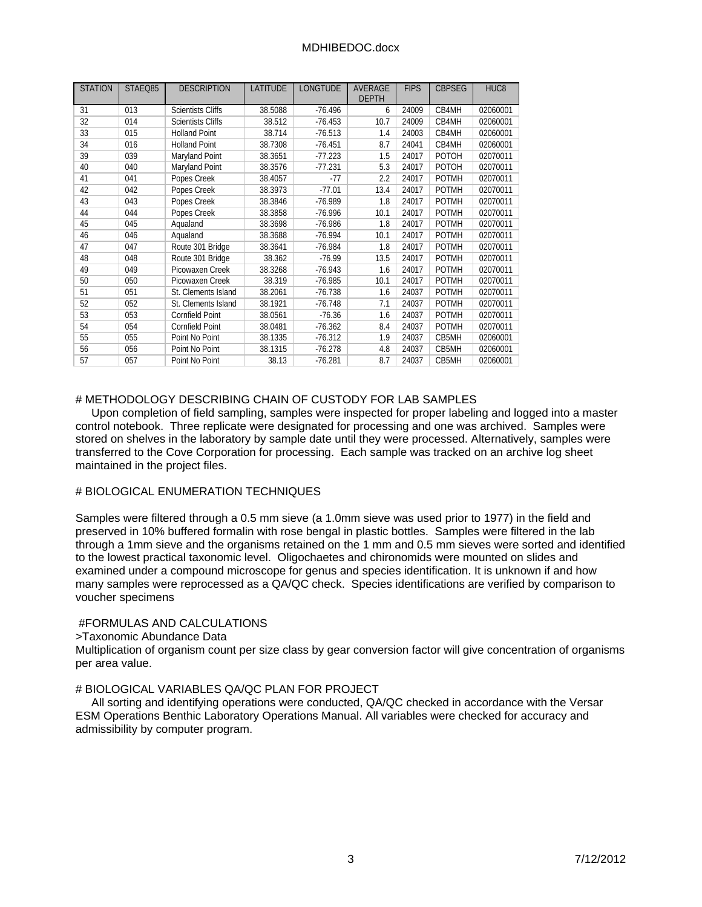| <b>STATION</b> | STAEQ85 | <b>DESCRIPTION</b>       | <b>LATITUDE</b> | <b>LONGTUDE</b> | <b>AVERAGE</b><br><b>DEPTH</b> | <b>FIPS</b> | <b>CBPSEG</b> | HUC <sub>8</sub> |
|----------------|---------|--------------------------|-----------------|-----------------|--------------------------------|-------------|---------------|------------------|
| 31             | 013     | <b>Scientists Cliffs</b> | 38.5088         | $-76.496$       | 6                              | 24009       | CB4MH         | 02060001         |
| 32             | 014     | <b>Scientists Cliffs</b> | 38.512          | $-76.453$       | 10.7                           | 24009       | CB4MH         | 02060001         |
| 33             | 015     | <b>Holland Point</b>     | 38.714          | $-76.513$       | 1.4                            | 24003       | CB4MH         | 02060001         |
| 34             | 016     | <b>Holland Point</b>     | 38.7308         | $-76.451$       | 8.7                            | 24041       | CB4MH         | 02060001         |
| 39             | 039     | Maryland Point           | 38.3651         | $-77.223$       | 1.5                            | 24017       | POTOH         | 02070011         |
|                |         |                          |                 |                 | 5.3                            |             | POTOH         |                  |
| 40             | 040     | Maryland Point           | 38.3576         | $-77.231$       |                                | 24017       |               | 02070011         |
| 41             | 041     | Popes Creek              | 38.4057         | -77             | 2.2                            | 24017       | <b>POTMH</b>  | 02070011         |
| 42             | 042     | Popes Creek              | 38.3973         | $-77.01$        | 13.4                           | 24017       | <b>POTMH</b>  | 02070011         |
| 43             | 043     | Popes Creek              | 38.3846         | $-76.989$       | 1.8                            | 24017       | <b>POTMH</b>  | 02070011         |
| 44             | 044     | Popes Creek              | 38.3858         | $-76.996$       | 10.1                           | 24017       | <b>POTMH</b>  | 02070011         |
| 45             | 045     | Aqualand                 | 38.3698         | $-76.986$       | 1.8                            | 24017       | <b>POTMH</b>  | 02070011         |
| 46             | 046     | Aqualand                 | 38.3688         | $-76.994$       | 10.1                           | 24017       | <b>POTMH</b>  | 02070011         |
| 47             | 047     | Route 301 Bridge         | 38.3641         | $-76.984$       | 1.8                            | 24017       | <b>POTMH</b>  | 02070011         |
| 48             | 048     | Route 301 Bridge         | 38.362          | $-76.99$        | 13.5                           | 24017       | <b>POTMH</b>  | 02070011         |
| 49             | 049     | Picowaxen Creek          | 38.3268         | $-76.943$       | 1.6                            | 24017       | <b>POTMH</b>  | 02070011         |
| 50             | 050     | Picowaxen Creek          | 38.319          | $-76.985$       | 10.1                           | 24017       | <b>POTMH</b>  | 02070011         |
| 51             | 051     | St. Clements Island      | 38.2061         | $-76.738$       | 1.6                            | 24037       | <b>POTMH</b>  | 02070011         |
| 52             | 052     | St. Clements Island      | 38.1921         | $-76.748$       | 7.1                            | 24037       | <b>POTMH</b>  | 02070011         |
| 53             | 053     | <b>Cornfield Point</b>   | 38.0561         | $-76.36$        | 1.6                            | 24037       | <b>POTMH</b>  | 02070011         |
| 54             | 054     | <b>Cornfield Point</b>   | 38.0481         | $-76.362$       | 8.4                            | 24037       | <b>POTMH</b>  | 02070011         |
| 55             | 055     | Point No Point           | 38.1335         | $-76.312$       | 1.9                            | 24037       | CB5MH         | 02060001         |
| 56             | 056     | Point No Point           | 38.1315         | $-76.278$       | 4.8                            | 24037       | CB5MH         | 02060001         |
| 57             | 057     | Point No Point           | 38.13           | $-76.281$       | 8.7                            | 24037       | CB5MH         | 02060001         |

### # METHODOLOGY DESCRIBING CHAIN OF CUSTODY FOR LAB SAMPLES

 Upon completion of field sampling, samples were inspected for proper labeling and logged into a master control notebook. Three replicate were designated for processing and one was archived. Samples were stored on shelves in the laboratory by sample date until they were processed. Alternatively, samples were transferred to the Cove Corporation for processing. Each sample was tracked on an archive log sheet maintained in the project files.

## # BIOLOGICAL ENUMERATION TECHNIQUES

Samples were filtered through a 0.5 mm sieve (a 1.0mm sieve was used prior to 1977) in the field and preserved in 10% buffered formalin with rose bengal in plastic bottles. Samples were filtered in the lab through a 1mm sieve and the organisms retained on the 1 mm and 0.5 mm sieves were sorted and identified to the lowest practical taxonomic level. Oligochaetes and chironomids were mounted on slides and examined under a compound microscope for genus and species identification. It is unknown if and how many samples were reprocessed as a QA/QC check. Species identifications are verified by comparison to voucher specimens

### #FORMULAS AND CALCULATIONS

>Taxonomic Abundance Data

Multiplication of organism count per size class by gear conversion factor will give concentration of organisms per area value.

### # BIOLOGICAL VARIABLES QA/QC PLAN FOR PROJECT

 All sorting and identifying operations were conducted, QA/QC checked in accordance with the Versar ESM Operations Benthic Laboratory Operations Manual. All variables were checked for accuracy and admissibility by computer program.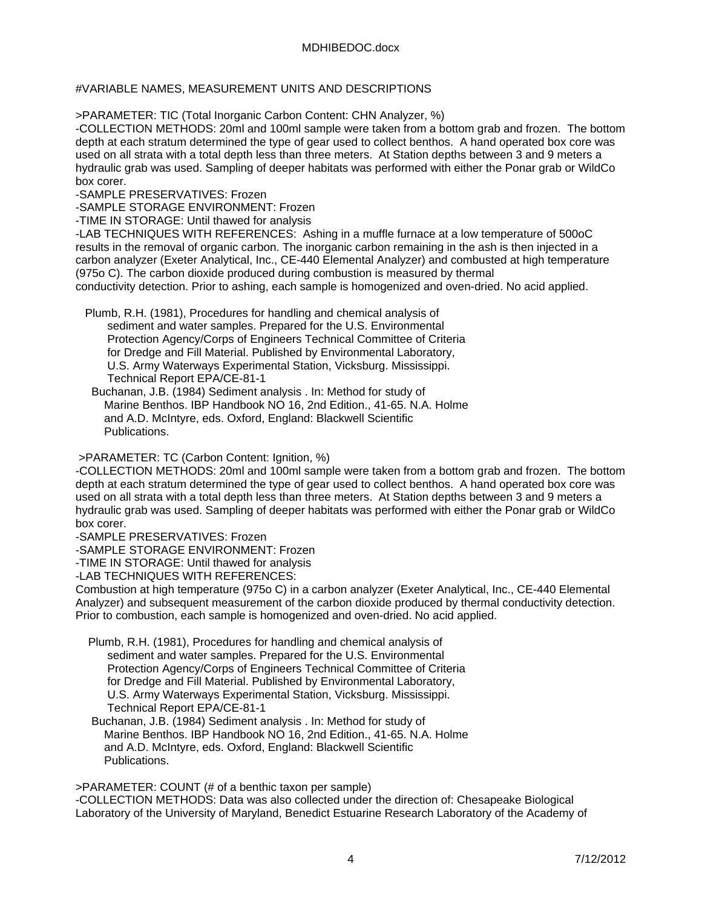## #VARIABLE NAMES, MEASUREMENT UNITS AND DESCRIPTIONS

>PARAMETER: TIC (Total Inorganic Carbon Content: CHN Analyzer, %)

-COLLECTION METHODS: 20ml and 100ml sample were taken from a bottom grab and frozen. The bottom depth at each stratum determined the type of gear used to collect benthos. A hand operated box core was used on all strata with a total depth less than three meters. At Station depths between 3 and 9 meters a hydraulic grab was used. Sampling of deeper habitats was performed with either the Ponar grab or WildCo box corer.

-SAMPLE PRESERVATIVES: Frozen

-SAMPLE STORAGE ENVIRONMENT: Frozen

-TIME IN STORAGE: Until thawed for analysis

-LAB TECHNIQUES WITH REFERENCES: Ashing in a muffle furnace at a low temperature of 500oC results in the removal of organic carbon. The inorganic carbon remaining in the ash is then injected in a carbon analyzer (Exeter Analytical, Inc., CE-440 Elemental Analyzer) and combusted at high temperature (975o C). The carbon dioxide produced during combustion is measured by thermal conductivity detection. Prior to ashing, each sample is homogenized and oven-dried. No acid applied.

 Plumb, R.H. (1981), Procedures for handling and chemical analysis of sediment and water samples. Prepared for the U.S. Environmental Protection Agency/Corps of Engineers Technical Committee of Criteria for Dredge and Fill Material. Published by Environmental Laboratory, U.S. Army Waterways Experimental Station, Vicksburg. Mississippi. Technical Report EPA/CE-81-1

 Buchanan, J.B. (1984) Sediment analysis . In: Method for study of Marine Benthos. IBP Handbook NO 16, 2nd Edition., 41-65. N.A. Holme and A.D. McIntyre, eds. Oxford, England: Blackwell Scientific Publications.

>PARAMETER: TC (Carbon Content: Ignition, %)

-COLLECTION METHODS: 20ml and 100ml sample were taken from a bottom grab and frozen. The bottom depth at each stratum determined the type of gear used to collect benthos. A hand operated box core was used on all strata with a total depth less than three meters. At Station depths between 3 and 9 meters a hydraulic grab was used. Sampling of deeper habitats was performed with either the Ponar grab or WildCo box corer.

-SAMPLE PRESERVATIVES: Frozen

-SAMPLE STORAGE ENVIRONMENT: Frozen

-TIME IN STORAGE: Until thawed for analysis

-LAB TECHNIQUES WITH REFERENCES:

Combustion at high temperature (975o C) in a carbon analyzer (Exeter Analytical, Inc., CE-440 Elemental Analyzer) and subsequent measurement of the carbon dioxide produced by thermal conductivity detection. Prior to combustion, each sample is homogenized and oven-dried. No acid applied.

- Plumb, R.H. (1981), Procedures for handling and chemical analysis of sediment and water samples. Prepared for the U.S. Environmental Protection Agency/Corps of Engineers Technical Committee of Criteria for Dredge and Fill Material. Published by Environmental Laboratory, U.S. Army Waterways Experimental Station, Vicksburg. Mississippi. Technical Report EPA/CE-81-1
- Buchanan, J.B. (1984) Sediment analysis . In: Method for study of Marine Benthos. IBP Handbook NO 16, 2nd Edition., 41-65. N.A. Holme and A.D. McIntyre, eds. Oxford, England: Blackwell Scientific Publications.

>PARAMETER: COUNT (# of a benthic taxon per sample)

-COLLECTION METHODS: Data was also collected under the direction of: Chesapeake Biological Laboratory of the University of Maryland, Benedict Estuarine Research Laboratory of the Academy of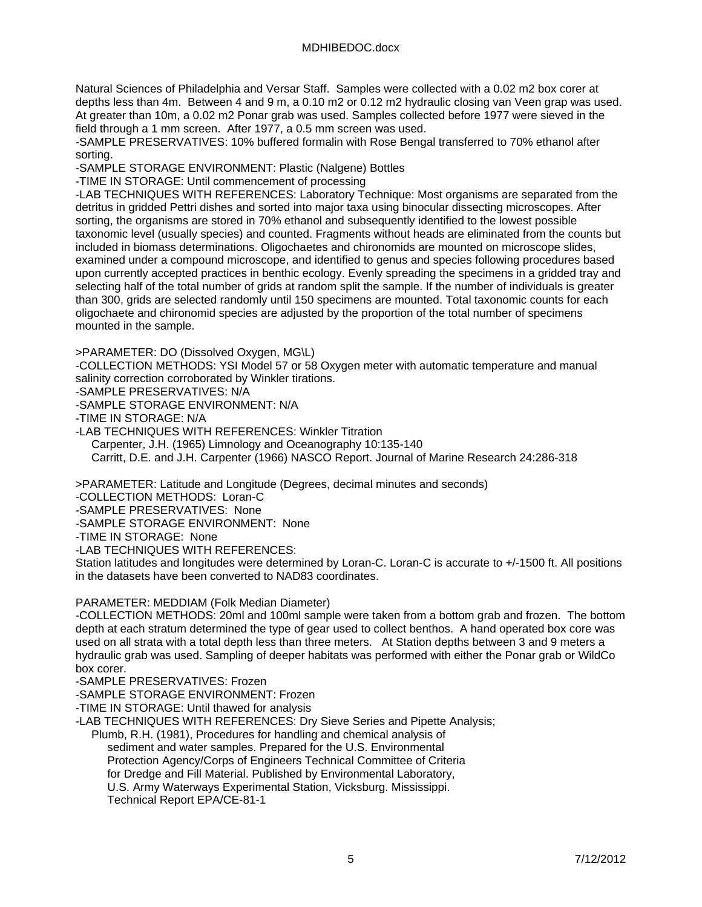Natural Sciences of Philadelphia and Versar Staff. Samples were collected with a 0.02 m2 box corer at depths less than 4m. Between 4 and 9 m, a 0.10 m2 or 0.12 m2 hydraulic closing van Veen grap was used. At greater than 10m, a 0.02 m2 Ponar grab was used. Samples collected before 1977 were sieved in the field through a 1 mm screen. After 1977, a 0.5 mm screen was used.

-SAMPLE PRESERVATIVES: 10% buffered formalin with Rose Bengal transferred to 70% ethanol after sorting.

-SAMPLE STORAGE ENVIRONMENT: Plastic (Nalgene) Bottles

-TIME IN STORAGE: Until commencement of processing

-LAB TECHNIQUES WITH REFERENCES: Laboratory Technique: Most organisms are separated from the detritus in gridded Pettri dishes and sorted into major taxa using binocular dissecting microscopes. After sorting, the organisms are stored in 70% ethanol and subsequently identified to the lowest possible taxonomic level (usually species) and counted. Fragments without heads are eliminated from the counts but included in biomass determinations. Oligochaetes and chironomids are mounted on microscope slides, examined under a compound microscope, and identified to genus and species following procedures based upon currently accepted practices in benthic ecology. Evenly spreading the specimens in a gridded tray and selecting half of the total number of grids at random split the sample. If the number of individuals is greater than 300, grids are selected randomly until 150 specimens are mounted. Total taxonomic counts for each oligochaete and chironomid species are adjusted by the proportion of the total number of specimens mounted in the sample.

>PARAMETER: DO (Dissolved Oxygen, MG\L)

-COLLECTION METHODS: YSI Model 57 or 58 Oxygen meter with automatic temperature and manual salinity correction corroborated by Winkler tirations.

-SAMPLE PRESERVATIVES: N/A

-SAMPLE STORAGE ENVIRONMENT: N/A

-TIME IN STORAGE: N/A

-LAB TECHNIQUES WITH REFERENCES: Winkler Titration Carpenter, J.H. (1965) Limnology and Oceanography 10:135-140 Carritt, D.E. and J.H. Carpenter (1966) NASCO Report. Journal of Marine Research 24:286-318

>PARAMETER: Latitude and Longitude (Degrees, decimal minutes and seconds)

-COLLECTION METHODS: Loran-C

-SAMPLE PRESERVATIVES: None

-SAMPLE STORAGE ENVIRONMENT: None

-TIME IN STORAGE: None

-LAB TECHNIQUES WITH REFERENCES:

Station latitudes and longitudes were determined by Loran-C. Loran-C is accurate to +/-1500 ft. All positions in the datasets have been converted to NAD83 coordinates.

PARAMETER: MEDDIAM (Folk Median Diameter)

-COLLECTION METHODS: 20ml and 100ml sample were taken from a bottom grab and frozen. The bottom depth at each stratum determined the type of gear used to collect benthos. A hand operated box core was used on all strata with a total depth less than three meters. At Station depths between 3 and 9 meters a hydraulic grab was used. Sampling of deeper habitats was performed with either the Ponar grab or WildCo box corer.

-SAMPLE PRESERVATIVES: Frozen

-SAMPLE STORAGE ENVIRONMENT: Frozen

-TIME IN STORAGE: Until thawed for analysis

-LAB TECHNIQUES WITH REFERENCES: Dry Sieve Series and Pipette Analysis;

 Plumb, R.H. (1981), Procedures for handling and chemical analysis of sediment and water samples. Prepared for the U.S. Environmental Protection Agency/Corps of Engineers Technical Committee of Criteria for Dredge and Fill Material. Published by Environmental Laboratory, U.S. Army Waterways Experimental Station, Vicksburg. Mississippi. Technical Report EPA/CE-81-1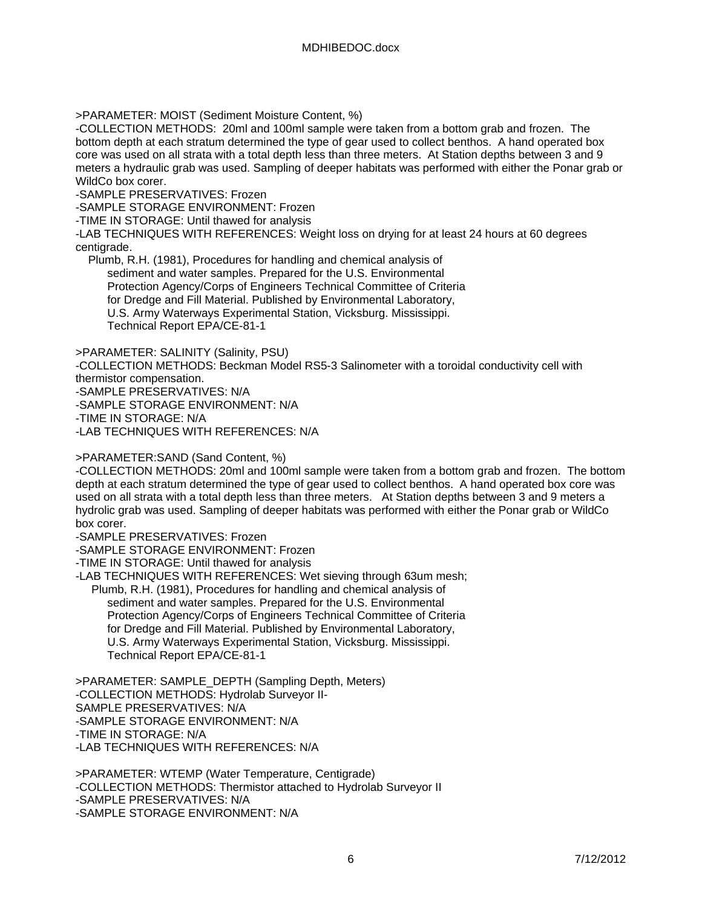>PARAMETER: MOIST (Sediment Moisture Content, %)

-COLLECTION METHODS: 20ml and 100ml sample were taken from a bottom grab and frozen. The bottom depth at each stratum determined the type of gear used to collect benthos. A hand operated box core was used on all strata with a total depth less than three meters. At Station depths between 3 and 9 meters a hydraulic grab was used. Sampling of deeper habitats was performed with either the Ponar grab or WildCo box corer.

-SAMPLE PRESERVATIVES: Frozen

-SAMPLE STORAGE ENVIRONMENT: Frozen

-TIME IN STORAGE: Until thawed for analysis

-LAB TECHNIQUES WITH REFERENCES: Weight loss on drying for at least 24 hours at 60 degrees centigrade.

 Plumb, R.H. (1981), Procedures for handling and chemical analysis of sediment and water samples. Prepared for the U.S. Environmental Protection Agency/Corps of Engineers Technical Committee of Criteria for Dredge and Fill Material. Published by Environmental Laboratory, U.S. Army Waterways Experimental Station, Vicksburg. Mississippi. Technical Report EPA/CE-81-1

>PARAMETER: SALINITY (Salinity, PSU)

-COLLECTION METHODS: Beckman Model RS5-3 Salinometer with a toroidal conductivity cell with thermistor compensation.

-SAMPLE PRESERVATIVES: N/A

-SAMPLE STORAGE ENVIRONMENT: N/A

-TIME IN STORAGE: N/A

-LAB TECHNIQUES WITH REFERENCES: N/A

>PARAMETER:SAND (Sand Content, %)

-COLLECTION METHODS: 20ml and 100ml sample were taken from a bottom grab and frozen. The bottom depth at each stratum determined the type of gear used to collect benthos. A hand operated box core was used on all strata with a total depth less than three meters. At Station depths between 3 and 9 meters a hydrolic grab was used. Sampling of deeper habitats was performed with either the Ponar grab or WildCo box corer.

-SAMPLE PRESERVATIVES: Frozen

-SAMPLE STORAGE ENVIRONMENT: Frozen

-TIME IN STORAGE: Until thawed for analysis

-LAB TECHNIQUES WITH REFERENCES: Wet sieving through 63um mesh; Plumb, R.H. (1981), Procedures for handling and chemical analysis of sediment and water samples. Prepared for the U.S. Environmental Protection Agency/Corps of Engineers Technical Committee of Criteria for Dredge and Fill Material. Published by Environmental Laboratory, U.S. Army Waterways Experimental Station, Vicksburg. Mississippi. Technical Report EPA/CE-81-1

>PARAMETER: SAMPLE\_DEPTH (Sampling Depth, Meters) -COLLECTION METHODS: Hydrolab Surveyor II-SAMPLE PRESERVATIVES: N/A -SAMPLE STORAGE ENVIRONMENT: N/A -TIME IN STORAGE: N/A -LAB TECHNIQUES WITH REFERENCES: N/A

>PARAMETER: WTEMP (Water Temperature, Centigrade) -COLLECTION METHODS: Thermistor attached to Hydrolab Surveyor II -SAMPLE PRESERVATIVES: N/A -SAMPLE STORAGE ENVIRONMENT: N/A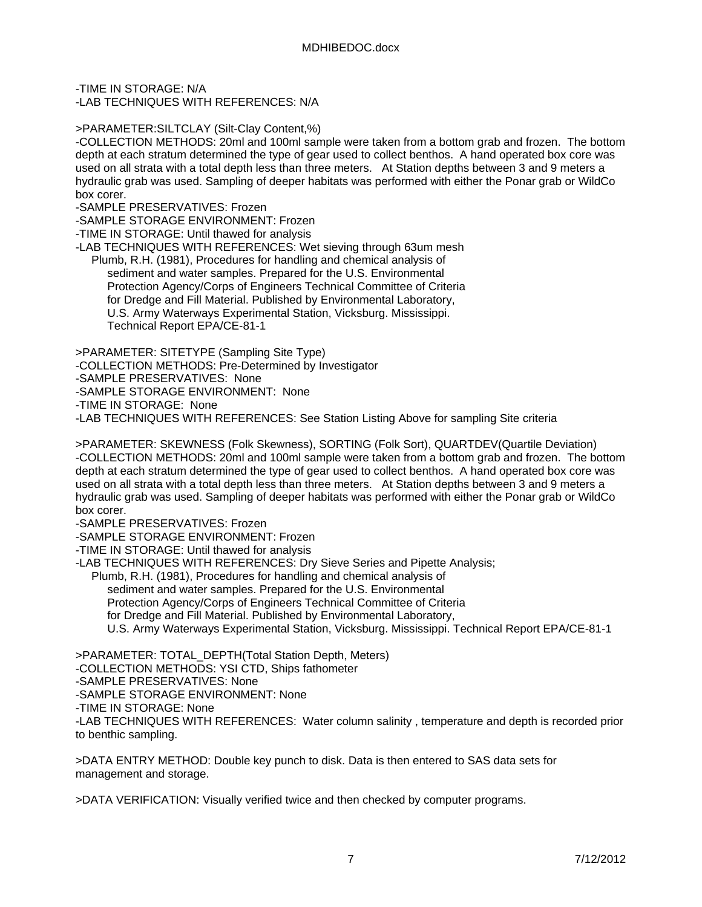-TIME IN STORAGE: N/A

-LAB TECHNIQUES WITH REFERENCES: N/A

>PARAMETER:SILTCLAY (Silt-Clay Content,%)

-COLLECTION METHODS: 20ml and 100ml sample were taken from a bottom grab and frozen. The bottom depth at each stratum determined the type of gear used to collect benthos. A hand operated box core was used on all strata with a total depth less than three meters. At Station depths between 3 and 9 meters a hydraulic grab was used. Sampling of deeper habitats was performed with either the Ponar grab or WildCo box corer.

-SAMPLE PRESERVATIVES: Frozen

-SAMPLE STORAGE ENVIRONMENT: Frozen

-TIME IN STORAGE: Until thawed for analysis

-LAB TECHNIQUES WITH REFERENCES: Wet sieving through 63um mesh

 Plumb, R.H. (1981), Procedures for handling and chemical analysis of sediment and water samples. Prepared for the U.S. Environmental Protection Agency/Corps of Engineers Technical Committee of Criteria for Dredge and Fill Material. Published by Environmental Laboratory, U.S. Army Waterways Experimental Station, Vicksburg. Mississippi. Technical Report EPA/CE-81-1

>PARAMETER: SITETYPE (Sampling Site Type)

-COLLECTION METHODS: Pre-Determined by Investigator

-SAMPLE PRESERVATIVES: None

-SAMPLE STORAGE ENVIRONMENT: None

-TIME IN STORAGE: None

-LAB TECHNIQUES WITH REFERENCES: See Station Listing Above for sampling Site criteria

>PARAMETER: SKEWNESS (Folk Skewness), SORTING (Folk Sort), QUARTDEV(Quartile Deviation) -COLLECTION METHODS: 20ml and 100ml sample were taken from a bottom grab and frozen. The bottom depth at each stratum determined the type of gear used to collect benthos. A hand operated box core was used on all strata with a total depth less than three meters. At Station depths between 3 and 9 meters a hydraulic grab was used. Sampling of deeper habitats was performed with either the Ponar grab or WildCo box corer.

-SAMPLE PRESERVATIVES: Frozen

-SAMPLE STORAGE ENVIRONMENT: Frozen

-TIME IN STORAGE: Until thawed for analysis

-LAB TECHNIQUES WITH REFERENCES: Dry Sieve Series and Pipette Analysis;

Plumb, R.H. (1981), Procedures for handling and chemical analysis of

sediment and water samples. Prepared for the U.S. Environmental

Protection Agency/Corps of Engineers Technical Committee of Criteria

for Dredge and Fill Material. Published by Environmental Laboratory,

U.S. Army Waterways Experimental Station, Vicksburg. Mississippi. Technical Report EPA/CE-81-1

>PARAMETER: TOTAL\_DEPTH(Total Station Depth, Meters)

-COLLECTION METHODS: YSI CTD, Ships fathometer

-SAMPLE PRESERVATIVES: None

-SAMPLE STORAGE ENVIRONMENT: None

-TIME IN STORAGE: None

-LAB TECHNIQUES WITH REFERENCES: Water column salinity , temperature and depth is recorded prior to benthic sampling.

>DATA ENTRY METHOD: Double key punch to disk. Data is then entered to SAS data sets for management and storage.

>DATA VERIFICATION: Visually verified twice and then checked by computer programs.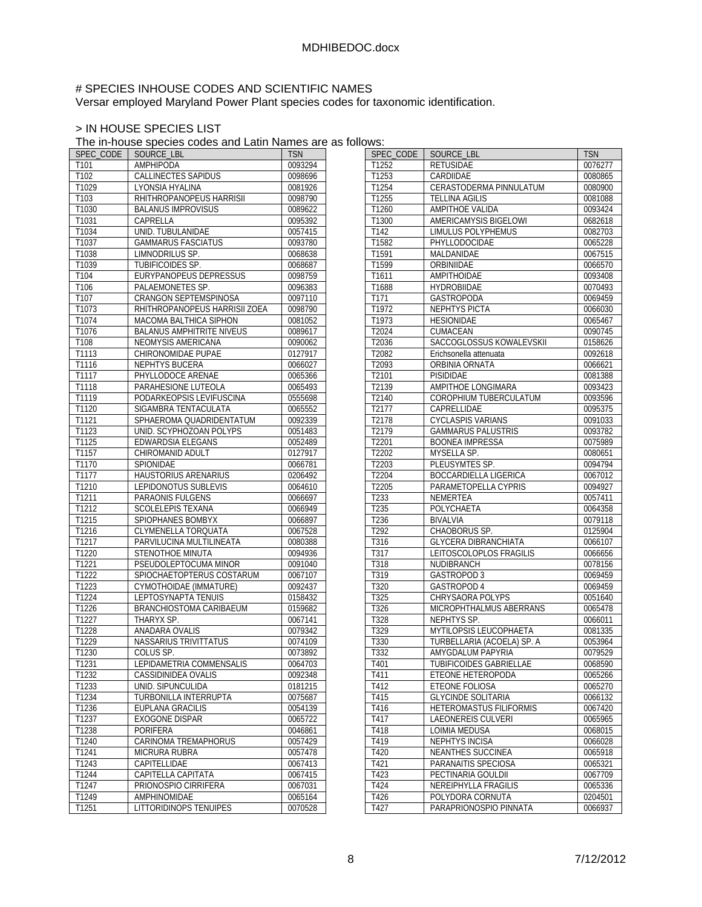# # SPECIES INHOUSE CODES AND SCIENTIFIC NAMES

Versar employed Maryland Power Plant species codes for taxonomic identification.

# > IN HOUSE SPECIES LIST

The in-house species codes and Latin Names are as follows:

| SPEC CODE           | SOURCE LBL                               | <b>TSN</b> |
|---------------------|------------------------------------------|------------|
| T <sub>101</sub>    | AMPHIPODA                                | 0093294    |
| T102                | CALLINECTES SAPIDUS                      | 0098696    |
| T1029               | LYONSIA HYALINA                          | 0081926    |
| T <sub>103</sub>    | RHITHROPANOPEUS HARRISII                 | 0098790    |
| T1030               | <b>BALANUS IMPROVISUS</b>                | 0089622    |
| T1031               | CAPRELLA                                 | 0095392    |
| T1034               | UNID. TUBULANIDAE                        | 0057415    |
| T1037               | <b>GAMMARUS FASCIATUS</b>                | 0093780    |
| T1038               | <b>LIMNODRILUS SP.</b>                   | 0068638    |
| T1039               | TUBIFICOIDES SP.                         | 0068687    |
| T104                | <b>EURYPANOPEUS DEPRESSUS</b>            | 0098759    |
| T106                | PALAEMONETES SP.                         | 0096383    |
| T <sub>107</sub>    | <b>CRANGON SEPTEMSPINOSA</b>             | 0097110    |
| $\overline{T}$ 1073 | RHITHROPANOPEUS HARRISII ZOEA            | 0098790    |
| T1074               | MACOMA BALTHICA SIPHON                   | 0081052    |
| T1076               | <b>BALANUS AMPHITRITE NIVEUS</b>         | 0089617    |
| T108                | NEOMYSIS AMERICANA                       | 0090062    |
|                     |                                          |            |
| T1113               | CHIRONOMIDAE PUPAE                       | 0127917    |
| T1116               | NEPHTYS BUCERA                           | 0066027    |
| T1117               | PHYLLODOCE ARENAE<br>PARAHESIONE LUTEOLA | 0065366    |
| T1118               |                                          | 0065493    |
| T1119               | PODARKEOPSIS LEVIFUSCINA                 | 0555698    |
| T1120               | SIGAMBRA TENTACULATA                     | 0065552    |
| $\overline{1}$ 1121 | SPHAEROMA QUADRIDENTATUM                 | 0092339    |
| T1123               | UNID. SCYPHOZOAN POLYPS                  | 0051483    |
| T1125               | <b>EDWARDSIA ELEGANS</b>                 | 0052489    |
| T1157               | CHIROMANID ADULT                         | 0127917    |
| T1170               | SPIONIDAE                                | 0066781    |
| T1177               | HAUSTORIUS ARENARIUS                     | 0206492    |
| T1210               | <b>LEPIDONOTUS SUBLEVIS</b>              | 0064610    |
| T1211               | PARAONIS FULGENS                         | 0066697    |
| T1212               | SCOLELEPIS TEXANA                        | 0066949    |
| T1215               | SPIOPHANES BOMBYX                        | 0066897    |
| $\overline{11216}$  | CLYMENELLA TORQUATA                      | 0067528    |
| T1217               | PARVILUCINA MULTILINEATA                 | 0080388    |
| T1220               | <b>STENOTHOE MINUTA</b>                  | 0094936    |
| T1221               | PSEUDOLEPTOCUMA MINOR                    | 0091040    |
| T1222               | SPIOCHAETOPTERUS COSTARUM                | 0067107    |
| T1223               | CYMOTHOIDAE (IMMATURE)                   | 0092437    |
| T1224               | LEPTOSYNAPTA TENUIS                      | 0158432    |
| T1226               | BRANCHIOSTOMA CARIBAEUM                  | 0159682    |
| T1227               | THARYX SP.                               | 0067141    |
| T1228               | ANADARA OVALIS                           | 0079342    |
| T1229               | <b>NASSARIUS TRIVITTATUS</b>             | 0074109    |
| T1230               | COLUS SP.                                | 0073892    |
| T1231               | LEPIDAMETRIA COMMENSALIS                 | 0064703    |
| T1232               | CASSIDINIDEA OVALIS                      | 0092348    |
| T1233               | UNID. SIPUNCULIDA                        | 0181215    |
| T1234               | TURBONILLA INTERRUPTA                    | 0075687    |
| T1236               | EUPLANA GRACILIS                         | 0054139    |
| T1237               | <b>EXOGONE DISPAR</b>                    | 0065722    |
| T1238               | PORIFERA                                 | 0046861    |
| T1240               | CARINOMA TREMAPHORUS                     | 0057429    |
| T1241               | MICRURA RUBRA                            | 0057478    |
| T1243               | CAPITELLIDAE                             | 0067413    |
| T1244               | CAPITELLA CAPITATA                       | 0067415    |
| T1247               | PRIONOSPIO CIRRIFERA                     | 0067031    |
| T1249               | AMPHINOMIDAE                             | 0065164    |
| T1251               | LITTORIDINOPS TENUIPES                   | 0070528    |
|                     |                                          |            |

| UWJ.             |                             |            |
|------------------|-----------------------------|------------|
| SPEC CODE        | SOURCE LBL                  | <b>TSN</b> |
| T1252            | <b>RETUSIDAE</b>            | 0076277    |
| T1253            | CARDIIDAE                   | 0080865    |
| T1254            | CERASTODERMA PINNULATUM     | 0080900    |
| T1255            | <b>TELLINA AGILIS</b>       | 0081088    |
| T1260            | <b>AMPITHOE VALIDA</b>      | 0093424    |
| T1300            | AMERICAMYSIS BIGELOWI       | 0682618    |
| T142             | <b>LIMULUS POLYPHEMUS</b>   | 0082703    |
| T1582            | PHYLLODOCIDAE               | 0065228    |
|                  |                             |            |
| T1591            | MALDANIDAE                  | 0067515    |
| T1599            | ORBINIIDAE                  | 0066570    |
| T1611            | AMPITHOIDAE                 | 0093408    |
| T1688            | <b>HYDROBIIDAE</b>          | 0070493    |
| T171             | GASTROPODA                  | 0069459    |
| T1972            | <b>NEPHTYS PICTA</b>        | 0066030    |
| T1973            | <b>HESIONIDAE</b>           | 0065467    |
| T2024            | CUMACEAN                    | 0090745    |
| T2036            | SACCOGLOSSUS KOWALEVSKII    | 0158626    |
| T2082            | Erichsonella attenuata      | 0092618    |
| T2093            | ORBINIA ORNATA              | 0066621    |
| T2101            | PISIDIDAE                   | 0081388    |
| T2139            | AMPITHOE LONGIMARA          | 0093423    |
| T2140            | COROPHIUM TUBERCULATUM      | 0093596    |
| T2177            | CAPRELLIDAE                 | 0095375    |
|                  |                             |            |
| T2178            | <b>CYCLASPIS VARIANS</b>    | 0091033    |
| T2179            | <b>GAMMARUS PALUSTRIS</b>   | 0093782    |
| T2201            | <b>BOONEA IMPRESSA</b>      | 0075989    |
| T2202            | MYSELLA SP.                 | 0080651    |
| T2203            | PLEUSYMTES SP.              | 0094794    |
| T2204            | BOCCARDIELLA LIGERICA       | 0067012    |
| T2205            | PARAMETOPELLA CYPRIS        | 0094927    |
| T233             | <b>NEMERTEA</b>             | 0057411    |
| T235             | POLYCHAETA                  | 0064358    |
| T236             | <b>BIVALVIA</b>             | 0079118    |
| T292             | CHAOBORUS SP.               | 0125904    |
| T316             | <b>GLYCERA DIBRANCHIATA</b> | 0066107    |
| T317             | LEITOSCOLOPLOS FRAGILIS     | 0066656    |
| T318             | NUDIBRANCH                  | 0078156    |
| T319             | GASTROPOD 3                 | 0069459    |
| T <sub>320</sub> | <b>GASTROPOD 4</b>          | 0069459    |
| T325             | CHRYSAORA POLYPS            | 0051640    |
| T326             | MICROPHTHALMUS ABERRANS     | 0065478    |
| T328             | NEPHTYS SP.                 | 0066011    |
|                  |                             | 0081335    |
| T329             | MYTILOPSIS LEUCOPHAETA      |            |
| T330             | TURBELLARIA (ACOELA) SP. A  | 0053964    |
| T332             | AMYGDALUM PAPYRIA           | 0079529    |
| T <sub>401</sub> | TUBIFICOIDES GABRIELLAE     | 0068590    |
| T411             | ETEONE HETEROPODA           | 0065266    |
| T412             | ETEONE FOLIOSA              | 0065270    |
| T415             | <b>GLYCINDE SOLITARIA</b>   | 0066132    |
| T416             | HETEROMASTUS FILIFORMIS     | 0067420    |
| T417             | LAEONEREIS CULVERI          | 0065965    |
| T418             | LOIMIA MEDUSA               | 0068015    |
| T419             | NEPHTYS INCISA              | 0066028    |
| T420             | <b>NEANTHES SUCCINEA</b>    | 0065918    |
| T421             | PARANAITIS SPECIOSA         | 0065321    |
| T423             | PECTINARIA GOULDII          | 0067709    |
| T424             | NEREIPHYLLA FRAGILIS        | 0065336    |
| T426             | POLYDORA CORNUTA            | 0204501    |
| T427             | PARAPRIONOSPIO PINNATA      | 0066937    |
|                  |                             |            |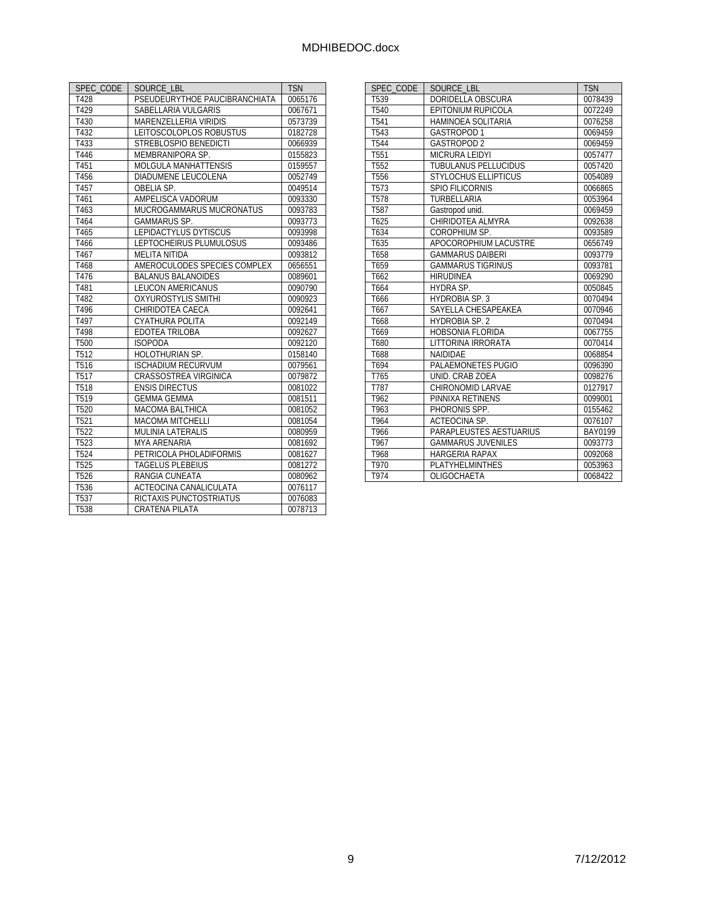| SPEC CODE         | SOURCE LBL                    | <b>TSN</b> |
|-------------------|-------------------------------|------------|
| T428              | PSEUDEURYTHOE PAUCIBRANCHIATA | 0065176    |
| T429              | SABELLARIA VULGARIS           | 0067671    |
| T430              | MARENZELLERIA VIRIDIS         | 0573739    |
| T432              | LEITOSCOLOPLOS ROBUSTUS       | 0182728    |
| T433              | STREBLOSPIO BENEDICTI         | 0066939    |
| T446              | MEMBRANIPORA SP.              | 0155823    |
| T451              | MOLGULA MANHATTENSIS          | 0159557    |
| T456              | DIADUMENE LEUCOLENA           | 0052749    |
| T457              | OBELIA SP.                    | 0049514    |
| T461              | AMPELISCA VADORUM             | 0093330    |
| T463              | MUCROGAMMARUS MUCRONATUS      | 0093783    |
| T464              | <b>GAMMARUS SP.</b>           | 0093773    |
| T465              | <b>LEPIDACTYLUS DYTISCUS</b>  | 0093998    |
| T466              | LEPTOCHEIRUS PLUMULOSUS       | 0093486    |
| T467              | <b>MELITA NITIDA</b>          | 0093812    |
| T468              | AMEROCULODES SPECIES COMPLEX  | 0656551    |
| T476              | <b>BALANUS BALANOIDES</b>     | 0089601    |
| T481              | <b>LEUCON AMERICANUS</b>      | 0090790    |
| T482              | <b>OXYUROSTYLIS SMITHI</b>    | 0090923    |
| T496              | CHIRIDOTEA CAECA              | 0092641    |
| T497              | CYATHURA POLITA               | 0092149    |
| T498              | EDOTEA TRILOBA                | 0092627    |
| T500              | <b>ISOPODA</b>                | 0092120    |
| T <sub>5</sub> 12 | <b>HOLOTHURIAN SP.</b>        | 0158140    |
| T516              | <b>ISCHADIUM RECURVUM</b>     | 0079561    |
| T517              | <b>CRASSOSTREA VIRGINICA</b>  | 0079872    |
| T518              | <b>ENSIS DIRECTUS</b>         | 0081022    |
| T519              | <b>GEMMA GEMMA</b>            | 0081511    |
| T520              | <b>MACOMA BALTHICA</b>        | 0081052    |
| T <sub>521</sub>  | <b>MACOMA MITCHELLI</b>       | 0081054    |
| T522              | <b>MULINIA LATERALIS</b>      | 0080959    |
| T <sub>523</sub>  | <b>MYA ARENARIA</b>           | 0081692    |
| T524              | PETRICOLA PHOLADIFORMIS       | 0081627    |
| T525              | <b>TAGELUS PLEBEIUS</b>       | 0081272    |
| T526              | RANGIA CUNEATA                | 0080962    |
| T536              | ACTEOCINA CANALICULATA        | 0076117    |
| T537              | RICTAXIS PUNCTOSTRIATUS       | 0076083    |
| T538              | <b>CRATENA PILATA</b>         | 0078713    |

| SPEC CODE        | SOURCE LBL                  | <b>TSN</b> |
|------------------|-----------------------------|------------|
| T539             | DORIDELLA OBSCURA           | 0078439    |
| T540             | EPITONIUM RUPICOLA          | 0072249    |
| T541             | HAMINOEA SOLITARIA          | 0076258    |
| T <sub>543</sub> | <b>GASTROPOD1</b>           | 0069459    |
| T544             | <b>GASTROPOD 2</b>          | 0069459    |
| T <sub>551</sub> | <b>MICRURA LEIDYI</b>       | 0057477    |
| T552             | <b>TUBULANUS PELLUCIDUS</b> | 0057420    |
| T556             | <b>STYLOCHUS ELLIPTICUS</b> | 0054089    |
| T <sub>573</sub> | SPIO FILICORNIS             | 0066865    |
| T578             | TURBELLARIA                 | 0053964    |
| T587             | Gastropod unid.             | 0069459    |
| T625             | CHIRIDOTEA ALMYRA           | 0092638    |
| T634             | COROPHIUM SP.               | 0093589    |
| T635             | APOCOROPHIUM LACUSTRE       | 0656749    |
| T658             | <b>GAMMARUS DAIBERI</b>     | 0093779    |
| T659             | <b>GAMMARUS TIGRINUS</b>    | 0093781    |
| T662             | <b>HIRUDINEA</b>            | 0069290    |
| T664             | HYDRA SP.                   | 0050845    |
| T666             | <b>HYDROBIA SP. 3</b>       | 0070494    |
| T667             | SAYELLA CHESAPEAKEA         | 0070946    |
| T668             | <b>HYDROBIA SP. 2</b>       | 0070494    |
| T669             | <b>HOBSONIA FLORIDA</b>     | 0067755    |
| T680             | LITTORINA IRRORATA          | 0070414    |
| T688             | NAIDIDAE                    | 0068854    |
| T694             | PALAEMONETES PUGIO          | 0096390    |
| T765             | UNID. CRAB ZOEA             | 0098276    |
| T787             | CHIRONOMID LARVAE           | 0127917    |
| T962             | PINNIXA RETINENS            | 0099001    |
| T963             | PHORONIS SPP.               | 0155462    |
| T964             | <b>ACTEOCINA SP.</b>        | 0076107    |
| T966             | PARAPLEUSTES AESTUARIUS     | BAY0199    |
| T967             | <b>GAMMARUS JUVENILES</b>   | 0093773    |
| T968             | <b>HARGERIA RAPAX</b>       | 0092068    |
| T970             | <b>PLATYHELMINTHES</b>      | 0053963    |
| T974             | <b>OLIGOCHAFTA</b>          | 0068422    |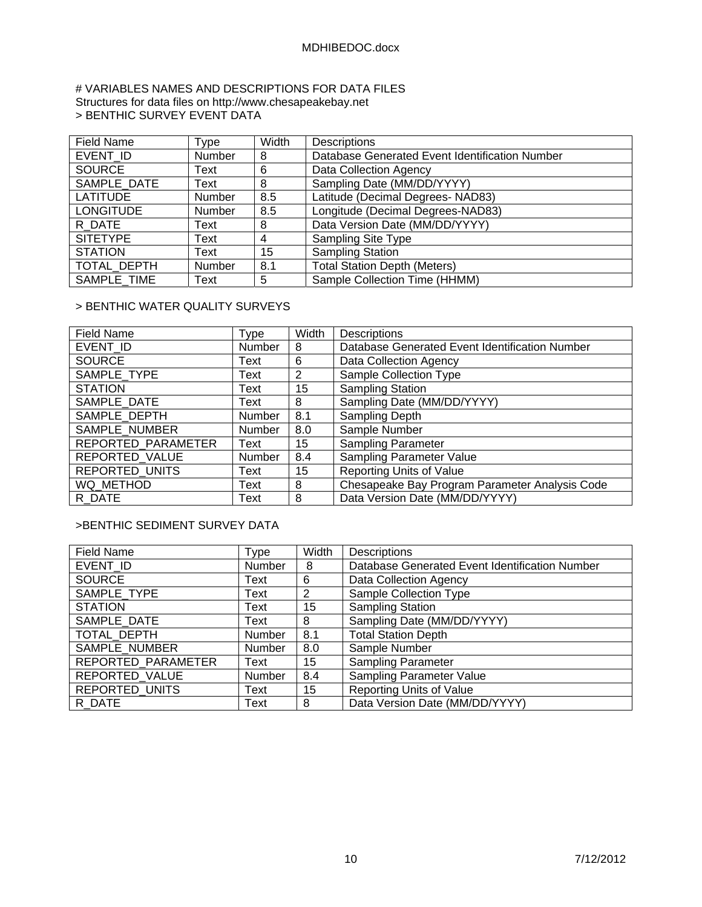### # VARIABLES NAMES AND DESCRIPTIONS FOR DATA FILES Structures for data files on http://www.chesapeakebay.net > BENTHIC SURVEY EVENT DATA

| <b>Field Name</b> | Type          | Width | <b>Descriptions</b>                            |
|-------------------|---------------|-------|------------------------------------------------|
| EVENT ID          | Number        | 8     | Database Generated Event Identification Number |
| <b>SOURCE</b>     | Text          | 6     | Data Collection Agency                         |
| SAMPLE DATE       | Text          | 8     | Sampling Date (MM/DD/YYYY)                     |
| <b>LATITUDE</b>   | Number        | 8.5   | Latitude (Decimal Degrees- NAD83)              |
| <b>LONGITUDE</b>  | Number        | 8.5   | Longitude (Decimal Degrees-NAD83)              |
| R DATE            | Text          | 8     | Data Version Date (MM/DD/YYYY)                 |
| <b>SITETYPE</b>   | Text          | 4     | Sampling Site Type                             |
| <b>STATION</b>    | Text          | 15    | <b>Sampling Station</b>                        |
| TOTAL DEPTH       | <b>Number</b> | 8.1   | <b>Total Station Depth (Meters)</b>            |
| SAMPLE TIME       | Text          | 5     | Sample Collection Time (HHMM)                  |

# > BENTHIC WATER QUALITY SURVEYS

| Field Name            | Type          | Width | <b>Descriptions</b>                            |
|-----------------------|---------------|-------|------------------------------------------------|
| EVENT ID              | Number        | 8     | Database Generated Event Identification Number |
| <b>SOURCE</b>         | Text          | 6     | Data Collection Agency                         |
| SAMPLE TYPE           | Text          | 2     | Sample Collection Type                         |
| <b>STATION</b>        | Text          | 15    | <b>Sampling Station</b>                        |
| SAMPLE DATE           | Text          | 8     | Sampling Date (MM/DD/YYYY)                     |
| SAMPLE DEPTH          | <b>Number</b> | 8.1   | Sampling Depth                                 |
| SAMPLE NUMBER         | Number        | 8.0   | Sample Number                                  |
| REPORTED PARAMETER    | Text          | 15    | Sampling Parameter                             |
| REPORTED VALUE        | Number        | 8.4   | Sampling Parameter Value                       |
| <b>REPORTED UNITS</b> | Text          | 15    | <b>Reporting Units of Value</b>                |
| WQ METHOD             | Text          | 8     | Chesapeake Bay Program Parameter Analysis Code |
| R DATE                | Text          | 8     | Data Version Date (MM/DD/YYYY)                 |

# >BENTHIC SEDIMENT SURVEY DATA

| <b>Field Name</b>     | Type   | Width | <b>Descriptions</b>                            |
|-----------------------|--------|-------|------------------------------------------------|
| EVENT ID              | Number | 8     | Database Generated Event Identification Number |
| <b>SOURCE</b>         | Text   | 6     | Data Collection Agency                         |
| SAMPLE_TYPE           | Text   | 2     | Sample Collection Type                         |
| <b>STATION</b>        | Text   | 15    | <b>Sampling Station</b>                        |
| SAMPLE DATE           | Text   | 8     | Sampling Date (MM/DD/YYYY)                     |
| TOTAL_DEPTH           | Number | 8.1   | <b>Total Station Depth</b>                     |
| SAMPLE NUMBER         | Number | 8.0   | Sample Number                                  |
| REPORTED PARAMETER    | Text   | 15    | <b>Sampling Parameter</b>                      |
| REPORTED_VALUE        | Number | 8.4   | <b>Sampling Parameter Value</b>                |
| <b>REPORTED UNITS</b> | Text   | 15    | <b>Reporting Units of Value</b>                |
| R DATE                | Text   | 8     | Data Version Date (MM/DD/YYYY)                 |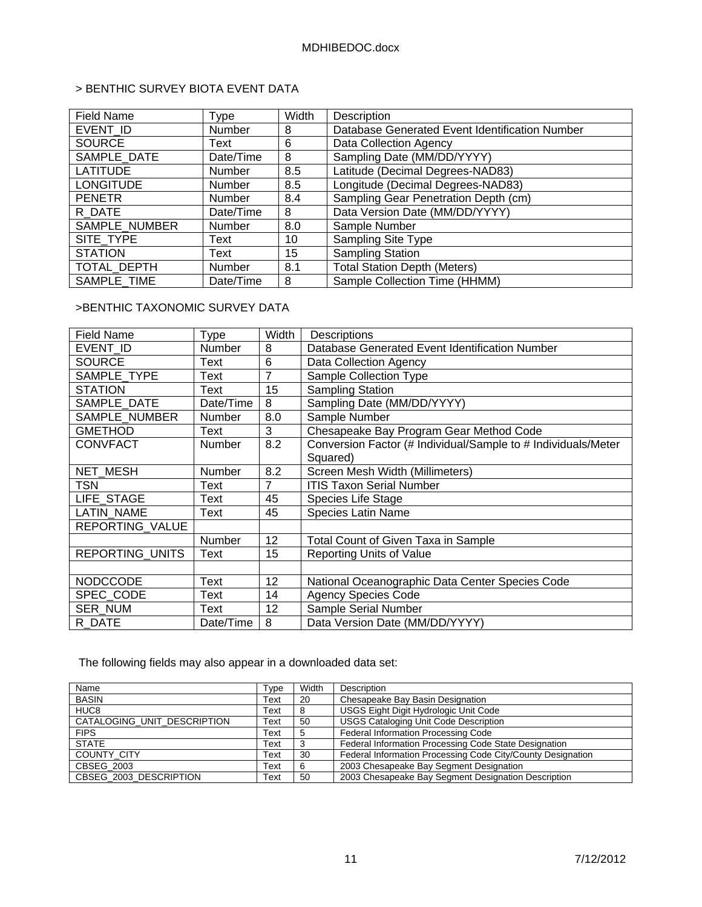# > BENTHIC SURVEY BIOTA EVENT DATA

| <b>Field Name</b> | <b>Type</b>   | Width | Description                                    |
|-------------------|---------------|-------|------------------------------------------------|
| EVENT ID          | Number        | 8     | Database Generated Event Identification Number |
| <b>SOURCE</b>     | Text          | 6     | Data Collection Agency                         |
| SAMPLE DATE       | Date/Time     | 8     | Sampling Date (MM/DD/YYYY)                     |
| <b>LATITUDE</b>   | <b>Number</b> | 8.5   | Latitude (Decimal Degrees-NAD83)               |
| <b>LONGITUDE</b>  | <b>Number</b> | 8.5   | Longitude (Decimal Degrees-NAD83)              |
| <b>PENETR</b>     | <b>Number</b> | 8.4   | Sampling Gear Penetration Depth (cm)           |
| R DATE            | Date/Time     | 8     | Data Version Date (MM/DD/YYYY)                 |
| SAMPLE NUMBER     | Number        | 8.0   | Sample Number                                  |
| SITE TYPE         | Text          | 10    | <b>Sampling Site Type</b>                      |
| <b>STATION</b>    | Text          | 15    | <b>Sampling Station</b>                        |
| TOTAL DEPTH       | Number        | 8.1   | <b>Total Station Depth (Meters)</b>            |
| SAMPLE TIME       | Date/Time     | 8     | Sample Collection Time (HHMM)                  |

# >BENTHIC TAXONOMIC SURVEY DATA

| <b>Field Name</b>      | <b>Type</b>   | Width          | Descriptions                                                  |
|------------------------|---------------|----------------|---------------------------------------------------------------|
| EVENT ID               | Number        | 8              | Database Generated Event Identification Number                |
| <b>SOURCE</b>          | Text          | 6              | Data Collection Agency                                        |
| SAMPLE TYPE            | Text          | 7              | Sample Collection Type                                        |
| <b>STATION</b>         | Text          | 15             | <b>Sampling Station</b>                                       |
| SAMPLE DATE            | Date/Time     | 8              | Sampling Date (MM/DD/YYYY)                                    |
| SAMPLE NUMBER          | Number        | 8.0            | Sample Number                                                 |
| <b>GMETHOD</b>         | Text          | 3              | Chesapeake Bay Program Gear Method Code                       |
| <b>CONVFACT</b>        | <b>Number</b> | 8.2            | Conversion Factor (# Individual/Sample to # Individuals/Meter |
|                        |               |                | Squared)                                                      |
| <b>NET MESH</b>        | <b>Number</b> | 8.2            | Screen Mesh Width (Millimeters)                               |
| <b>TSN</b>             | Text          | $\overline{7}$ | <b>ITIS Taxon Serial Number</b>                               |
| LIFE STAGE             | Text          | 45             | Species Life Stage                                            |
| LATIN_NAME             | Text          | 45             | <b>Species Latin Name</b>                                     |
| REPORTING_VALUE        |               |                |                                                               |
|                        | Number        | 12             | Total Count of Given Taxa in Sample                           |
| <b>REPORTING UNITS</b> | Text          | 15             | Reporting Units of Value                                      |
|                        |               |                |                                                               |
| <b>NODCCODE</b>        | Text          | 12             | National Oceanographic Data Center Species Code               |
| SPEC_CODE              | Text          | 14             | <b>Agency Species Code</b>                                    |
| <b>SER NUM</b>         | Text          | 12             | Sample Serial Number                                          |
| R DATE                 | Date/Time     | 8              | Data Version Date (MM/DD/YYYY)                                |

The following fields may also appear in a downloaded data set:

| Name                        | Type | Width | Description                                                 |
|-----------------------------|------|-------|-------------------------------------------------------------|
| <b>BASIN</b>                | Text | 20    | Chesapeake Bay Basin Designation                            |
| HUC <sub>8</sub>            | Text |       | USGS Eight Digit Hydrologic Unit Code                       |
| CATALOGING_UNIT_DESCRIPTION | Text | 50    | <b>USGS Cataloging Unit Code Description</b>                |
| <b>FIPS</b>                 | Text |       | Federal Information Processing Code                         |
| <b>STATE</b>                | Text |       | Federal Information Processing Code State Designation       |
| <b>COUNTY CITY</b>          | Text | 30    | Federal Information Processing Code City/County Designation |
| CBSEG 2003                  | Text |       | 2003 Chesapeake Bay Segment Designation                     |
| CBSEG 2003 DESCRIPTION      | Text | 50    | 2003 Chesapeake Bay Segment Designation Description         |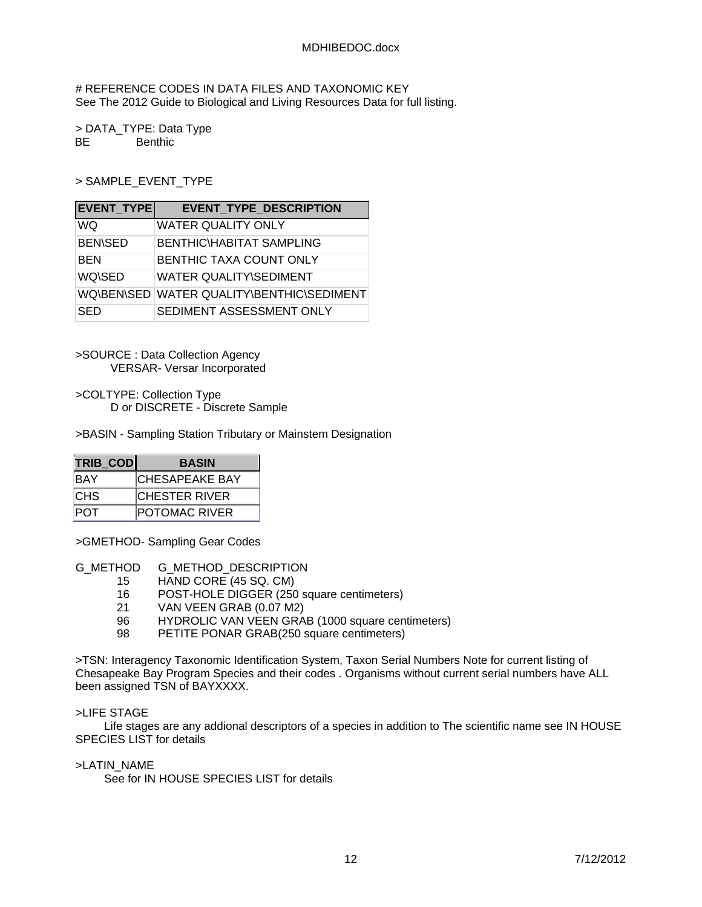# REFERENCE CODES IN DATA FILES AND TAXONOMIC KEY See The 2012 Guide to Biological and Living Resources Data for full listing.

> DATA\_TYPE: Data Type BE Benthic

> SAMPLE\_EVENT\_TYPE

| <b>EVENT TYPE</b> | <b>EVENT TYPE DESCRIPTION</b>             |
|-------------------|-------------------------------------------|
| WQ                | <b>WATER QUALITY ONLY</b>                 |
| <b>BEN\SED</b>    | <b>BENTHIC\HABITAT SAMPLING</b>           |
| <b>BEN</b>        | BENTHIC TAXA COUNT ONLY                   |
| WQ\SED            | <b>WATER QUALITY\SEDIMENT</b>             |
|                   | WQ\BEN\SED WATER QUALITY\BENTHIC\SEDIMENT |
| SED               | SEDIMENT ASSESSMENT ONLY                  |

>SOURCE : Data Collection Agency VERSAR- Versar Incorporated

>COLTYPE: Collection Type D or DISCRETE - Discrete Sample

>BASIN - Sampling Station Tributary or Mainstem Designation

| <b>TRIB COD</b> | <b>BASIN</b>          |
|-----------------|-----------------------|
| <b>BAY</b>      | <b>CHESAPEAKE BAY</b> |
| <b>CHS</b>      | <b>CHESTER RIVER</b>  |
| POT             | <b>POTOMAC RIVER</b>  |

>GMETHOD- Sampling Gear Codes

G\_METHOD G\_METHOD\_DESCRIPTION

- 15 HAND CORE (45 SQ. CM)
- 16 POST-HOLE DIGGER (250 square centimeters)<br>21 VAN VEEN GRAB (0.07 M2)
- VAN VEEN GRAB (0.07 M2)
- 96 HYDROLIC VAN VEEN GRAB (1000 square centimeters)
- 98 PETITE PONAR GRAB(250 square centimeters)

>TSN: Interagency Taxonomic Identification System, Taxon Serial Numbers Note for current listing of Chesapeake Bay Program Species and their codes . Organisms without current serial numbers have ALL been assigned TSN of BAYXXXX.

### >LIFE STAGE

 Life stages are any addional descriptors of a species in addition to The scientific name see IN HOUSE SPECIES LIST for details

### >LATIN\_NAME

See for IN HOUSE SPECIES LIST for details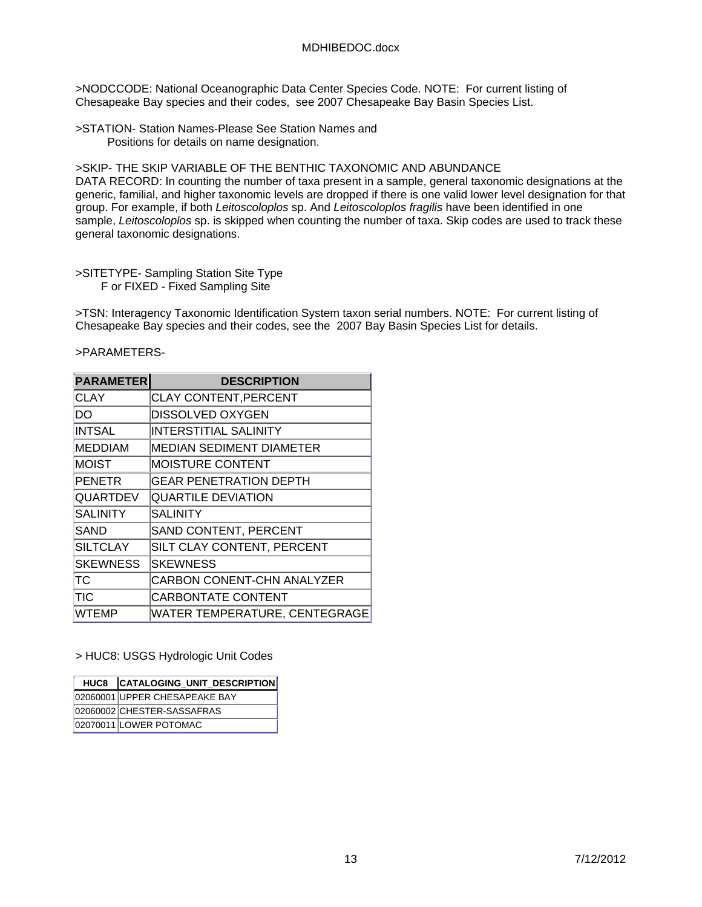>NODCCODE: National Oceanographic Data Center Species Code. NOTE: For current listing of Chesapeake Bay species and their codes, see 2007 Chesapeake Bay Basin Species List.

>STATION- Station Names-Please See Station Names and Positions for details on name designation.

>SKIP- THE SKIP VARIABLE OF THE BENTHIC TAXONOMIC AND ABUNDANCE DATA RECORD: In counting the number of taxa present in a sample, general taxonomic designations at the generic, familial, and higher taxonomic levels are dropped if there is one valid lower level designation for that group. For example, if both *Leitoscoloplos* sp. And *Leitoscoloplos fragilis* have been identified in one sample, *Leitoscoloplos* sp. is skipped when counting the number of taxa. Skip codes are used to track these general taxonomic designations.

#### >SITETYPE- Sampling Station Site Type F or FIXED - Fixed Sampling Site

>TSN: Interagency Taxonomic Identification System taxon serial numbers. NOTE: For current listing of Chesapeake Bay species and their codes, see the 2007 Bay Basin Species List for details.

>PARAMETERS-

| <b>PARAMETER</b> | <b>DESCRIPTION</b>              |  |  |
|------------------|---------------------------------|--|--|
| CLAY             | <b>CLAY CONTENT, PERCENT</b>    |  |  |
| DO               | <b>DISSOLVED OXYGEN</b>         |  |  |
| INTSAL           | <b>INTERSTITIAL SALINITY</b>    |  |  |
| <b>MEDDIAM</b>   | <b>MEDIAN SEDIMENT DIAMETER</b> |  |  |
| <b>MOIST</b>     | <b>MOISTURE CONTENT</b>         |  |  |
| <b>PENETR</b>    | <b>GEAR PENETRATION DEPTH</b>   |  |  |
| <b>QUARTDEV</b>  | <b>QUARTILE DEVIATION</b>       |  |  |
| <b>SALINITY</b>  | <b>SALINITY</b>                 |  |  |
| SAND             | <b>SAND CONTENT, PERCENT</b>    |  |  |
| <b>SILTCLAY</b>  | SILT CLAY CONTENT, PERCENT      |  |  |
| <b>SKEWNESS</b>  | <b>SKEWNESS</b>                 |  |  |
| TС               | CARBON CONENT-CHN ANALYZER      |  |  |
| TIC              | <b>CARBONTATE CONTENT</b>       |  |  |
| <b>WTEMP</b>     | WATER TEMPERATURE, CENTEGRAGE   |  |  |

> HUC8: USGS Hydrologic Unit Codes

| HUC8 CATALOGING_UNIT_DESCRIPTION |
|----------------------------------|
| 02060001 UPPER CHESAPEAKE BAY    |
| 02060002 CHESTER-SASSAFRAS       |
| 02070011 LOWER POTOMAC           |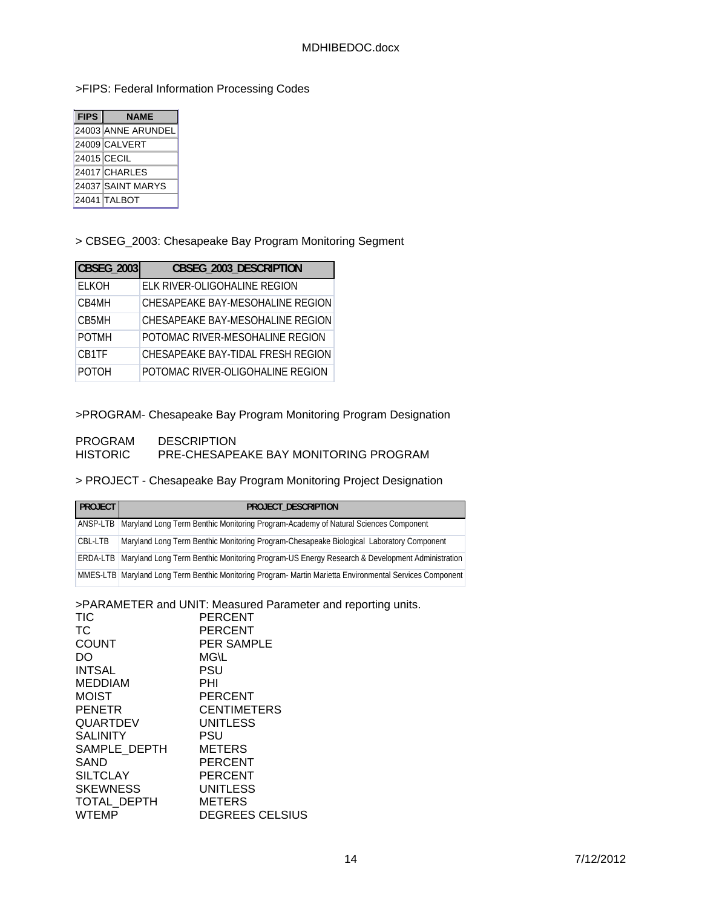# >FIPS: Federal Information Processing Codes

| <b>FIPS</b><br><b>NAME</b> |                    |  |
|----------------------------|--------------------|--|
|                            | 24003 ANNE ARUNDEL |  |
|                            | 24009 CALVERT      |  |
|                            | 24015 CECIL        |  |
|                            | 24017 CHARLES      |  |
|                            | 24037 SAINT MARYS  |  |
|                            | 24041 TALBOT       |  |

# > CBSEG\_2003: Chesapeake Bay Program Monitoring Segment

| CBSEG_2003   | CBSEG_2003_DESCRIPTION            |
|--------------|-----------------------------------|
| <b>ELKOH</b> | ELK RIVER-OLIGOHALINE REGION      |
| CB4MH        | CHESAPEAKE BAY-MESOHALINE REGION  |
| CB5MH        | CHESAPEAKE BAY-MESOHALINE REGION  |
| <b>POTMH</b> | POTOMAC RIVER-MESOHALINE REGION   |
| CB1TF        | CHESAPEAKE BAY-TIDAL FRESH REGION |
| POTOH        | POTOMAC RIVER-OLIGOHALINE REGION  |

# >PROGRAM- Chesapeake Bay Program Monitoring Program Designation

### PROGRAM DESCRIPTION<br>HISTORIC PRE-CHESAPE PRE-CHESAPEAKE BAY MONITORING PROGRAM

# > PROJECT - Chesapeake Bay Program Monitoring Project Designation

| <b>PROJECT</b> | PROJECT DESCRIPTION                                                                                           |
|----------------|---------------------------------------------------------------------------------------------------------------|
| ANSP-LTB       | Maryland Long Term Benthic Monitoring Program-Academy of Natural Sciences Component                           |
| CBL-LTB        | Maryland Long Term Benthic Monitoring Program-Chesapeake Biological Laboratory Component                      |
|                | <b>ERDA-LTB</b> Maryland Long Term Benthic Monitoring Program-US Energy Research & Development Administration |
|                | MMES-LTB Maryland Long Term Benthic Monitoring Program-Martin Marietta Environmental Services Component       |

# >PARAMETER and UNIT: Measured Parameter and reporting units.

| <b>PERCENT</b>         |
|------------------------|
| <b>PERCENT</b>         |
| <b>PER SAMPLE</b>      |
| <b>MG\L</b>            |
| PSU                    |
| PHI                    |
| PERCENT                |
| <b>CENTIMETERS</b>     |
| UNITLESS               |
| PSU                    |
| <b>METERS</b>          |
| <b>PERCENT</b>         |
| PERCENT                |
| UNITLESS               |
| <b>METERS</b>          |
| <b>DEGREES CELSIUS</b> |
|                        |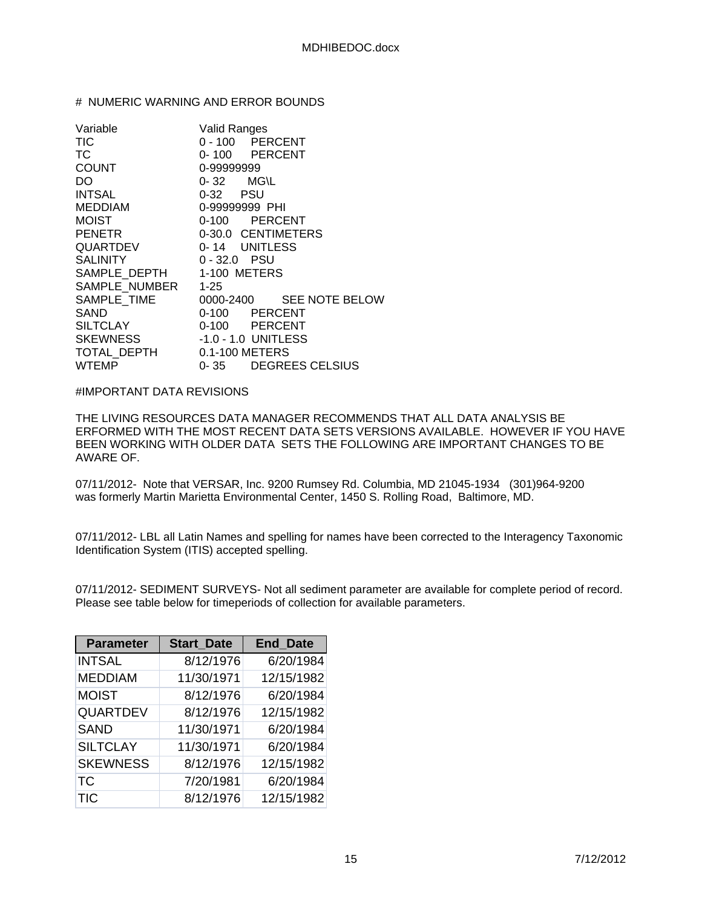## # NUMERIC WARNING AND ERROR BOUNDS

| Variable                     | <b>Valid Ranges</b>      |  |  |
|------------------------------|--------------------------|--|--|
| TIC                          | 0 - 100 PERCENT          |  |  |
| ТC                           | 0-100 PERCENT            |  |  |
| <b>COUNT</b>                 | 0-99999999               |  |  |
| DO -                         | $0 - 32$ MG\L            |  |  |
| <b>INTSAL</b>                | 0-32 PSU                 |  |  |
| <b>MEDDIAM</b>               | 0-99999999 PHI           |  |  |
| <b>MOIST</b>                 | 0-100 PERCENT            |  |  |
| PENETR                       | 0-30.0 CENTIMETERS       |  |  |
| QUARTDEV                     | 0-14 UNITLESS            |  |  |
| SALINITY                     | $0 - 32.0$ PSU           |  |  |
| SAMPLE DEPTH 1-100 METERS    |                          |  |  |
| SAMPLE_NUMBER 1-25           |                          |  |  |
| SAMPLE_TIME                  | 0000-2400 SEE NOTE BELOW |  |  |
| SAND                         | 0-100 PERCENT            |  |  |
| SILTCLAY                     | 0-100 PERCENT            |  |  |
| SKEWNESS -1.0 - 1.0 UNITLESS |                          |  |  |
| TOTAL DEPTH 0.1-100 METERS   |                          |  |  |
| <b>WTEMP</b>                 | 0-35 DEGREES CELSIUS     |  |  |

## #IMPORTANT DATA REVISIONS

THE LIVING RESOURCES DATA MANAGER RECOMMENDS THAT ALL DATA ANALYSIS BE ERFORMED WITH THE MOST RECENT DATA SETS VERSIONS AVAILABLE. HOWEVER IF YOU HAVE BEEN WORKING WITH OLDER DATA SETS THE FOLLOWING ARE IMPORTANT CHANGES TO BE AWARE OF.

07/11/2012- Note that VERSAR, Inc. 9200 Rumsey Rd. Columbia, MD 21045-1934 (301)964-9200 was formerly Martin Marietta Environmental Center, 1450 S. Rolling Road, Baltimore, MD.

07/11/2012- LBL all Latin Names and spelling for names have been corrected to the Interagency Taxonomic Identification System (ITIS) accepted spelling.

07/11/2012- SEDIMENT SURVEYS- Not all sediment parameter are available for complete period of record. Please see table below for timeperiods of collection for available parameters.

| <b>Parameter</b> | <b>Start_Date</b> | <b>End Date</b> |
|------------------|-------------------|-----------------|
| <b>INTSAL</b>    | 8/12/1976         | 6/20/1984       |
| <b>MEDDIAM</b>   | 11/30/1971        | 12/15/1982      |
| <b>MOIST</b>     | 8/12/1976         | 6/20/1984       |
| <b>QUARTDEV</b>  | 8/12/1976         | 12/15/1982      |
| <b>SAND</b>      | 11/30/1971        | 6/20/1984       |
| <b>SILTCLAY</b>  | 11/30/1971        | 6/20/1984       |
| <b>SKEWNESS</b>  | 8/12/1976         | 12/15/1982      |
| TC               | 7/20/1981         | 6/20/1984       |
| <b>TIC</b>       | 8/12/1976         | 12/15/1982      |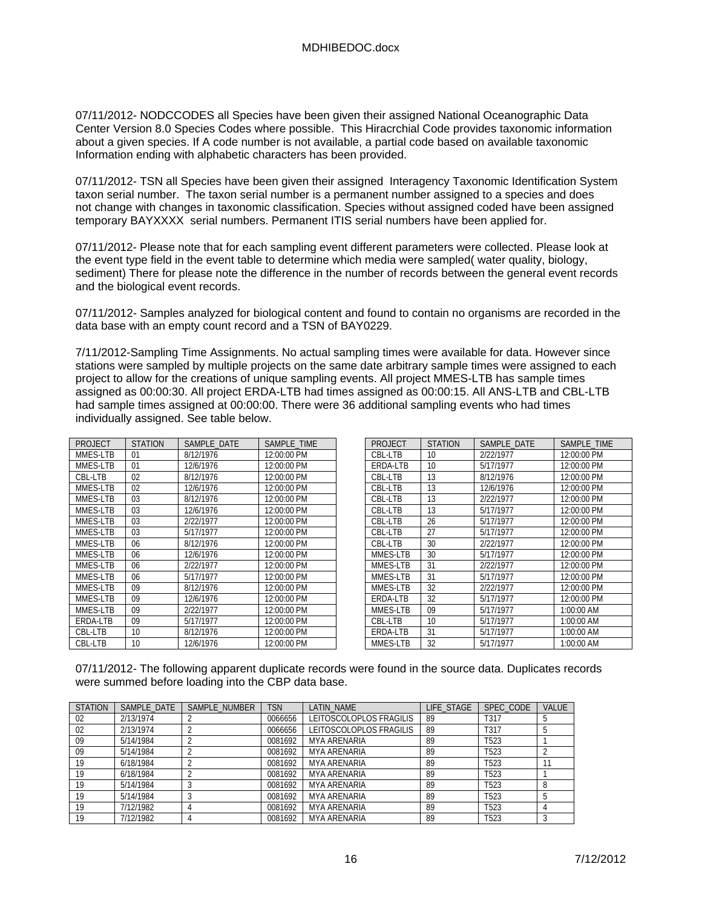07/11/2012- NODCCODES all Species have been given their assigned National Oceanographic Data Center Version 8.0 Species Codes where possible. This Hiracrchial Code provides taxonomic information about a given species. If A code number is not available, a partial code based on available taxonomic Information ending with alphabetic characters has been provided.

07/11/2012- TSN all Species have been given their assigned Interagency Taxonomic Identification System taxon serial number. The taxon serial number is a permanent number assigned to a species and does not change with changes in taxonomic classification. Species without assigned coded have been assigned temporary BAYXXXX serial numbers. Permanent ITIS serial numbers have been applied for.

07/11/2012- Please note that for each sampling event different parameters were collected. Please look at the event type field in the event table to determine which media were sampled( water quality, biology, sediment) There for please note the difference in the number of records between the general event records and the biological event records.

07/11/2012- Samples analyzed for biological content and found to contain no organisms are recorded in the data base with an empty count record and a TSN of BAY0229.

7/11/2012-Sampling Time Assignments. No actual sampling times were available for data. However since stations were sampled by multiple projects on the same date arbitrary sample times were assigned to each project to allow for the creations of unique sampling events. All project MMES-LTB has sample times assigned as 00:00:30. All project ERDA-LTB had times assigned as 00:00:15. All ANS-LTB and CBL-LTB had sample times assigned at 00:00:00. There were 36 additional sampling events who had times individually assigned. See table below.

| PROJECT         | <b>STATION</b> | SAMPLE DATE | SAMPLE TIME |
|-----------------|----------------|-------------|-------------|
| MMES-LTB        | 01             | 8/12/1976   | 12:00:00 PM |
| MMES-LTB        | 01             | 12/6/1976   | 12:00:00 PM |
| CBL-LTB         | 02             | 8/12/1976   | 12:00:00 PM |
| MMES-LTB        | 02             | 12/6/1976   | 12:00:00 PM |
| MMES-LTB        | 03             | 8/12/1976   | 12:00:00 PM |
| MMES-LTB        | 03             | 12/6/1976   | 12:00:00 PM |
| MMES-LTB        | 03             | 2/22/1977   | 12:00:00 PM |
| MMES-LTB        | 03             | 5/17/1977   | 12:00:00 PM |
| MMES-LTB        | 06             | 8/12/1976   | 12:00:00 PM |
| MMES-LTB        | 06             | 12/6/1976   | 12:00:00 PM |
| MMES-LTB        | 06             | 2/22/1977   | 12:00:00 PM |
| MMES-LTB        | 06             | 5/17/1977   | 12:00:00 PM |
| MMES-LTB        | 09             | 8/12/1976   | 12:00:00 PM |
| MMES-LTB        | 09             | 12/6/1976   | 12:00:00 PM |
| MMES-LTB        | 09             | 2/22/1977   | 12:00:00 PM |
| <b>ERDA-LTB</b> | 09             | 5/17/1977   | 12:00:00 PM |
| CBL-LTB         | 10             | 8/12/1976   | 12:00:00 PM |
| CBL-LTB         | 10             | 12/6/1976   | 12:00:00 PM |

| PROJECT         | <b>STATION</b> | SAMPLE DATE | SAMPLE TIME |
|-----------------|----------------|-------------|-------------|
| CBL-LTB         | 10             | 2/22/1977   | 12:00:00 PM |
| <b>FRDA-LTB</b> | 10             | 5/17/1977   | 12:00:00 PM |
| CBL-LTB         | 13             | 8/12/1976   | 12:00:00 PM |
| CBL-LTB         | 13             | 12/6/1976   | 12:00:00 PM |
| CBL-LTB         | 13             | 2/22/1977   | 12:00:00 PM |
| CBL-LTB         | 13             | 5/17/1977   | 12:00:00 PM |
| CBL-LTB         | 26             | 5/17/1977   | 12:00:00 PM |
| CBL-LTB         | 27             | 5/17/1977   | 12:00:00 PM |
| CBL-LTB         | 30             | 2/22/1977   | 12:00:00 PM |
| MMES-LTB        | 30             | 5/17/1977   | 12:00:00 PM |
| MMES-LTB        | 31             | 2/22/1977   | 12:00:00 PM |
| MMES-LTB        | 31             | 5/17/1977   | 12:00:00 PM |
| MMES-LTB        | 32             | 2/22/1977   | 12:00:00 PM |
| <b>ERDA-LTB</b> | 32             | 5/17/1977   | 12:00:00 PM |
| MMES-LTB        | 09             | 5/17/1977   | 1:00:00 AM  |
| CBL-LTB         | 10             | 5/17/1977   | 1:00:00 AM  |
| ERDA-LTB        | 31             | 5/17/1977   | 1:00:00 AM  |
| MMES-LTB        | 32             | 5/17/1977   | 1:00:00 AM  |

07/11/2012- The following apparent duplicate records were found in the source data. Duplicates records were summed before loading into the CBP data base.

| <b>STATION</b> | SAMPLE DATE | SAMPLE NUMBER | <b>TSN</b> | LATIN NAME              | LIFE STAGE | SPEC CODE        | <b>VALUE</b> |
|----------------|-------------|---------------|------------|-------------------------|------------|------------------|--------------|
| 02             | 2/13/1974   |               | 0066656    | LEITOSCOLOPLOS FRAGILIS | 89         | T317             |              |
| 02             | 2/13/1974   |               | 0066656    | LEITOSCOLOPLOS FRAGILIS | 89         | T317             |              |
| 09             | 5/14/1984   |               | 0081692    | MYA ARENARIA            | 89         | T <sub>523</sub> |              |
| 09             | 5/14/1984   |               | 0081692    | MYA ARENARIA            | 89         | T <sub>523</sub> |              |
| 19             | 6/18/1984   |               | 0081692    | <b>MYA ARENARIA</b>     | 89         | T <sub>523</sub> |              |
| 19             | 6/18/1984   |               | 0081692    | MYA ARENARIA            | 89         | T <sub>523</sub> |              |
| 19             | 5/14/1984   |               | 0081692    | <b>MYA ARENARIA</b>     | 89         | T <sub>523</sub> |              |
| 19             | 5/14/1984   |               | 0081692    | <b>MYA ARENARIA</b>     | 89         | T <sub>523</sub> |              |
| 19             | 7/12/1982   |               | 0081692    | MYA ARENARIA            | 89         | T <sub>523</sub> |              |
| 19             | 7/12/1982   |               | 0081692    | MYA ARENARIA            | 89         | T <sub>523</sub> |              |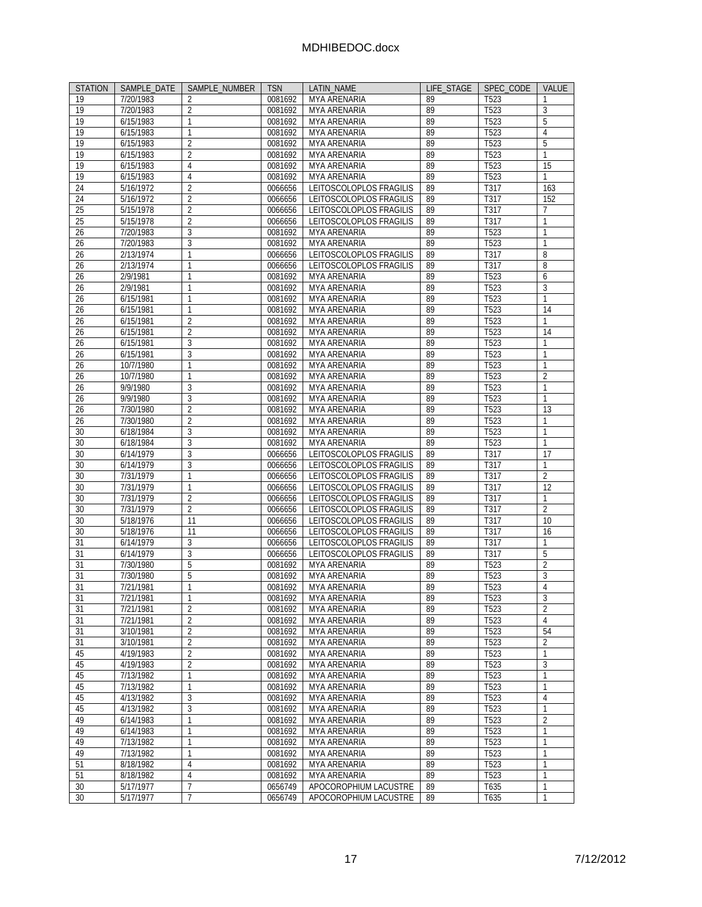| <b>STATION</b>  | SAMPLE DATE            | SAMPLE NUMBER       | <b>TSN</b>         | <b>LATIN NAME</b>                   | LIFE STAGE | SPEC_CODE                | VALUE               |
|-----------------|------------------------|---------------------|--------------------|-------------------------------------|------------|--------------------------|---------------------|
| 19              | 7/20/1983              | $\overline{2}$      | 0081692            | MYA ARENARIA                        | 89         | T <sub>523</sub>         | 1                   |
| 19              | 7/20/1983              | $\overline{2}$      | 0081692            | MYA ARENARIA                        | 89         | T <sub>523</sub>         | 3                   |
| 19              | 6/15/1983              | $\mathbf{1}$        | 0081692            | MYA ARENARIA                        | 89         | $T52\overline{3}$        | 5                   |
| 19              | 6/15/1983              | $\mathbf{1}$        | 0081692            | MYA ARENARIA                        | 89         | T523                     | 4                   |
| 19              | 6/15/1983              | $\overline{2}$      | 0081692            | MYA ARENARIA                        | 89         | T523                     | 5                   |
| 19              | 6/15/1983              | $\overline{2}$      | 0081692            | MYA ARENARIA                        | 89         | T523                     | $\mathbf{1}$        |
| 19              | 6/15/1983              | $\overline{4}$      | 0081692            | MYA ARENARIA                        | 89         | T <sub>523</sub>         | 15                  |
| 19              | 6/15/1983              | $\overline{4}$      | 0081692            | <b>MYA ARENARIA</b>                 | 89         | T523                     | 1                   |
| 24              | 5/16/1972              | $\overline{2}$      | 0066656            | LEITOSCOLOPLOS FRAGILIS             | 89         | T317                     | 163                 |
| 24              | 5/16/1972              | $\overline{2}$      | 0066656            | LEITOSCOLOPLOS FRAGILIS             | 89         | T317                     | 152                 |
| $\overline{25}$ | 5/15/1978              | $\overline{2}$      | 0066656            | LEITOSCOLOPLOS FRAGILIS             | 89         | T317                     | 7                   |
| 25              | 5/15/1978              | $\overline{2}$      | 0066656            | LEITOSCOLOPLOS FRAGILIS             | 89         | T317                     | 1                   |
| 26              | 7/20/1983              | 3                   | 0081692            | MYA ARENARIA                        | 89         | T <sub>523</sub>         | 1                   |
| 26              | 7/20/1983              | 3                   | 0081692            | MYA ARENARIA                        | 89         | T523                     | $\mathbf{1}$        |
| 26              | 2/13/1974              | $\mathbf{1}$        | 0066656            | LEITOSCOLOPLOS FRAGILIS             | 89         | T317                     | 8                   |
| 26              | 2/13/1974              | 1                   | 0066656            | LEITOSCOLOPLOS FRAGILIS             | 89         | T317                     | 8                   |
| 26              | 2/9/1981               | $\mathbf{1}$        | 0081692            | MYA ARENARIA                        | 89         | T523                     | 6                   |
| 26              | 2/9/1981               | $\mathbf{1}$        | 0081692            | MYA ARENARIA                        | 89         | T523                     | 3                   |
| 26              | 6/15/1981              | $\mathbf{1}$        | 0081692            | MYA ARENARIA                        | 89         | T <sub>523</sub>         | $\mathbf{1}$        |
|                 |                        |                     | 0081692            |                                     |            |                          |                     |
| 26              | 6/15/1981              | $\mathbf{1}$        |                    | MYA ARENARIA                        | 89         | T523                     | 14                  |
| 26              | 6/15/1981              | $\overline{2}$      | 0081692            | MYA ARENARIA                        | 89         | T523                     | 1                   |
| 26              | 6/15/1981              | $\overline{2}$      | 0081692            | MYA ARENARIA                        | 89         | T523                     | 14                  |
| 26              | 6/15/1981              | 3                   | 0081692            | MYA ARENARIA                        | 89         | T523                     | 1                   |
| 26              | 6/15/1981              | 3                   | 0081692            | MYA ARENARIA                        | 89         | T <sub>523</sub>         | $\mathbf{1}$        |
| 26              | 10/7/1980              | 1                   | 0081692            | MYA ARENARIA                        | 89         | T523                     | 1                   |
| 26              | 10/7/1980              | 1                   | 0081692            | MYA ARENARIA                        | 89         | $\overline{7523}$        | $\overline{2}$      |
| 26              | 9/9/1980               | 3                   | 0081692            | MYA ARENARIA                        | 89         | T523                     | $\mathbf{1}$        |
| 26              | 9/9/1980               | 3                   | 0081692            | MYA ARENARIA                        | 89         | T523                     | $\mathbf{1}$        |
| 26              | 7/30/1980              | $\overline{2}$      | 0081692            | MYA ARENARIA                        | 89         | T <sub>523</sub>         | $\overline{13}$     |
| 26              | 7/30/1980              | $\overline{2}$      | 0081692            | MYA ARENARIA                        | 89         | T523                     | 1                   |
| 30              | 6/18/1984              | 3                   | 0081692            | MYA ARENARIA                        | 89         | T <sub>523</sub>         | $\mathbf{1}$        |
| 30              | 6/18/1984              | 3                   | 0081692            | <b>MYA ARENARIA</b>                 | 89         | T <sub>523</sub>         | 1                   |
| 30              | 6/14/1979              | 3                   | 0066656            | LEITOSCOLOPLOS FRAGILIS             | 89         | T317                     | 17                  |
| 30              | 6/14/1979              | 3                   | 0066656            | LEITOSCOLOPLOS FRAGILIS             | 89         | T317                     | $\mathbf{1}$        |
| 30              | 7/31/1979              | $\mathbf{1}$        | 0066656            | LEITOSCOLOPLOS FRAGILIS             | 89         | T317                     | 2                   |
| 30              | 7/31/1979              | $\mathbf{1}$        | 0066656            | LEITOSCOLOPLOS FRAGILIS             | 89         | T317                     | 12                  |
| 30              | 7/31/1979              | $\overline{2}$      | 0066656            | LEITOSCOLOPLOS FRAGILIS             | 89         | T317                     | $\mathbf{1}$        |
| 30              | 7/31/1979              | $\overline{2}$      | 0066656            | LEITOSCOLOPLOS FRAGILIS             | 89         | T317                     | $\overline{2}$      |
| 30              | 5/18/1976              | 11                  | 0066656            | LEITOSCOLOPLOS FRAGILIS             | 89         | T317                     | 10                  |
| 30              | 5/18/1976              | 11                  | 0066656            | LEITOSCOLOPLOS FRAGILIS             | 89         | T317                     | 16                  |
| 31              | 6/14/1979              | 3                   | 0066656            | LEITOSCOLOPLOS FRAGILIS             | 89         | T317                     | $\mathbf{1}$        |
| 31              | 6/14/1979              | $\overline{3}$      | 0066656            | LEITOSCOLOPLOS FRAGILIS             | 89         | T317                     | 5                   |
| 31              | 7/30/1980              | 5                   | 0081692            | MYA ARENARIA                        | 89         | T523                     | $\overline{2}$      |
| 31              | 7/30/1980              | 5                   | 0081692            | MYA ARENARIA                        | 89         | T523                     | 3                   |
| 31              | 7/21/1981              | 1                   | 0081692            | MYA ARENARIA                        | 89         | T523                     | 4                   |
|                 |                        |                     |                    |                                     |            |                          |                     |
| 31<br>31        | 7/21/1981<br>7/21/1981 | $\overline{2}$      | 0081692            | <b>MYA ARENARIA</b><br>MYA ARENARIA | 89<br>89   | 1523<br>T <sub>523</sub> | 3<br>$\overline{2}$ |
|                 | 7/21/1981              |                     | 0081692            |                                     |            |                          | 4                   |
| 31              | 3/10/1981              | 2<br>$\overline{2}$ | 0081692<br>0081692 | MYA ARENARIA                        | 89         | T <sub>523</sub><br>T523 |                     |
| 31              |                        |                     |                    | MYA ARENARIA                        | 89         |                          | 54                  |
| 31              | 3/10/1981<br>4/19/1983 | $\overline{2}$      | 0081692            | MYA ARENARIA                        | 89         | T <sub>523</sub>         | $\overline{2}$      |
| 45              |                        | $\overline{2}$      | 0081692            | MYA ARENARIA                        | 89         | T523                     | 1                   |
| 45              | 4/19/1983              | $\overline{2}$      | 0081692            | MYA ARENARIA                        | 89         | T523                     | 3                   |
| 45              | 7/13/1982              | $\mathbf{1}$        | 0081692            | <b>MYA ARENARIA</b>                 | 89         | T523                     | $\mathbf{1}$        |
| 45              | 7/13/1982              | 1                   | 0081692            | MYA ARENARIA                        | 89         | T <sub>523</sub>         | 1                   |
| 45              | 4/13/1982              | 3                   | 0081692            | <b>MYA ARENARIA</b>                 | 89         | T <sub>523</sub>         | 4                   |
| 45              | 4/13/1982              | 3                   | 0081692            | MYA ARENARIA                        | 89         | T <sub>523</sub>         | 1                   |
| 49              | 6/14/1983              | 1                   | 0081692            | <b>MYA ARENARIA</b>                 | 89         | $T\overline{523}$        | 2                   |
| 49              | 6/14/1983              | 1                   | 0081692            | MYA ARENARIA                        | 89         | T <sub>523</sub>         | 1                   |
| 49              | 7/13/1982              | 1                   | 0081692            | <b>MYA ARENARIA</b>                 | 89         | T <sub>523</sub>         | 1                   |
| 49              | 7/13/1982              | $\mathbf{1}$        | 0081692            | MYA ARENARIA                        | 89         | T <sub>523</sub>         | $\mathbf{1}$        |
| 51              | 8/18/1982              | 4                   | 0081692            | MYA ARENARIA                        | 89         | T <sub>523</sub>         | 1                   |
| 51              | 8/18/1982              | $\overline{4}$      | 0081692            | MYA ARENARIA                        | 89         | T523                     | $\mathbf{1}$        |
| 30              | 5/17/1977              | $\overline{7}$      | 0656749            | APOCOROPHIUM LACUSTRE               | 89         | T635                     | $\mathbf{1}$        |
| 30              | 5/17/1977              | 7                   | 0656749            | APOCOROPHIUM LACUSTRE               | 89         | T635                     | 1                   |